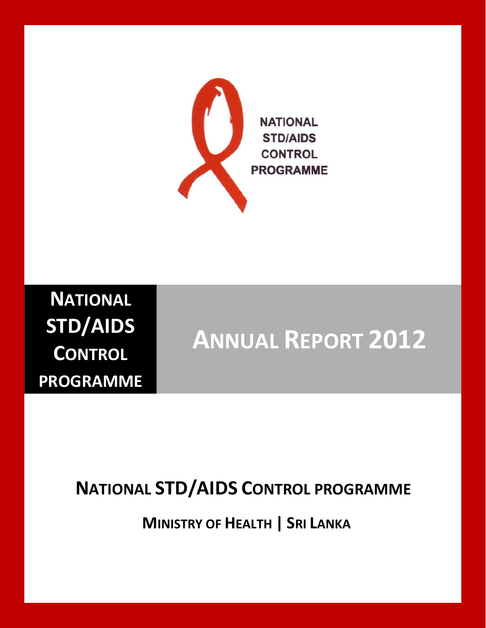



## **ANNUAL REPORT 2012**

## **NATIONAL STD/AIDS CONTROL PROGRAMME**

**MINISTRY OF HEALTH | SRI LANKA**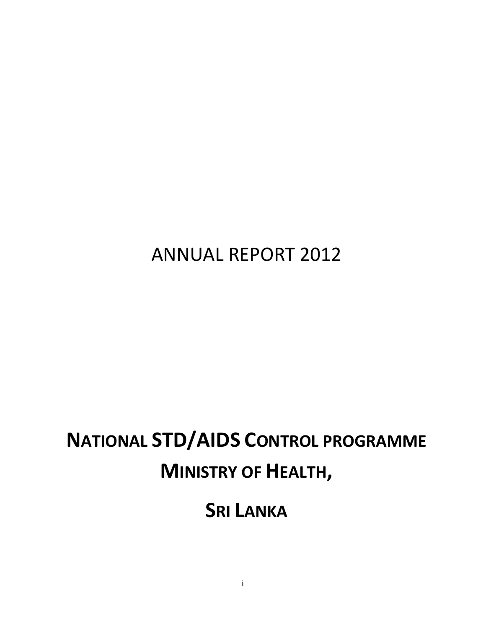ANNUAL REPORT 2012

# **NATIONAL STD/AIDS CONTROL PROGRAMME MINISTRY OF HEALTH,**

**SRI LANKA**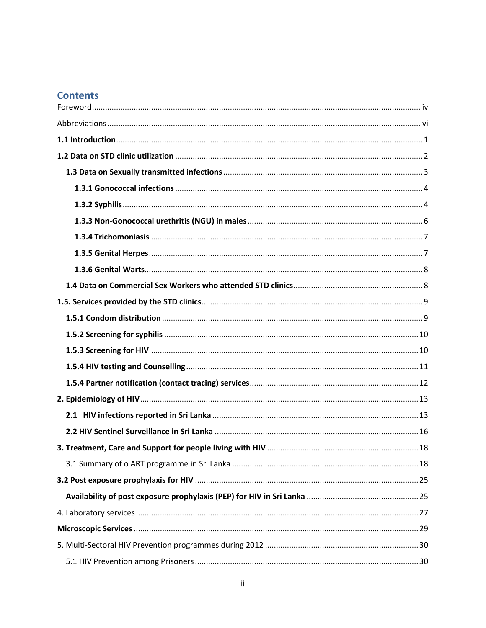### **Contents**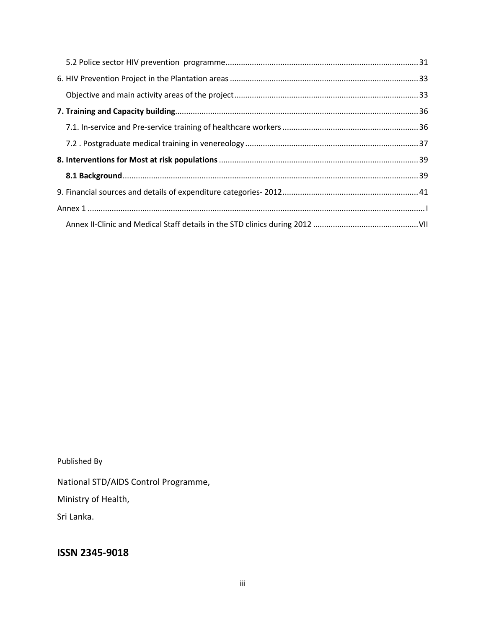Published By

National STD/AIDS Control Programme,

Ministry of Health,

Sri Lanka.

### **ISSN 2345-9018**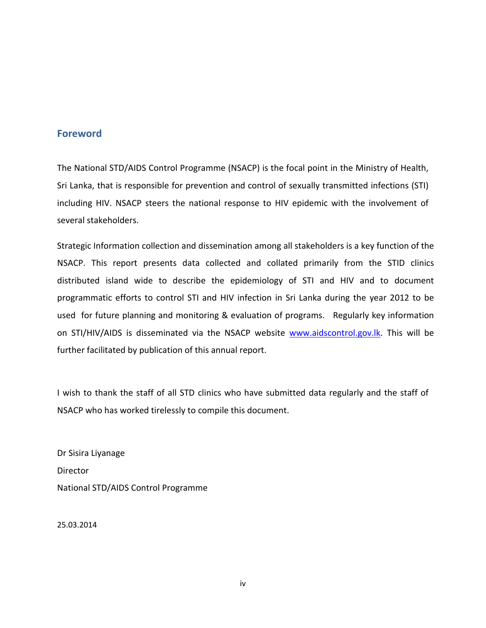### <span id="page-4-0"></span>**Foreword**

The National STD/AIDS Control Programme (NSACP) is the focal point in the Ministry of Health, Sri Lanka, that is responsible for prevention and control of sexually transmitted infections (STI) including HIV. NSACP steers the national response to HIV epidemic with the involvement of several stakeholders.

Strategic Information collection and dissemination among all stakeholders is a key function of the NSACP. This report presents data collected and collated primarily from the STID clinics distributed island wide to describe the epidemiology of STI and HIV and to document programmatic efforts to control STI and HIV infection in Sri Lanka during the year 2012 to be used for future planning and monitoring & evaluation of programs. Regularly key information on STI/HIV/AIDS is disseminated via the NSACP website [www.aidscontrol.gov.lk.](http://www.aidscontrol.gov.lk/) This will be further facilitated by publication of this annual report.

I wish to thank the staff of all STD clinics who have submitted data regularly and the staff of NSACP who has worked tirelessly to compile this document.

Dr Sisira Liyanage Director National STD/AIDS Control Programme

25.03.2014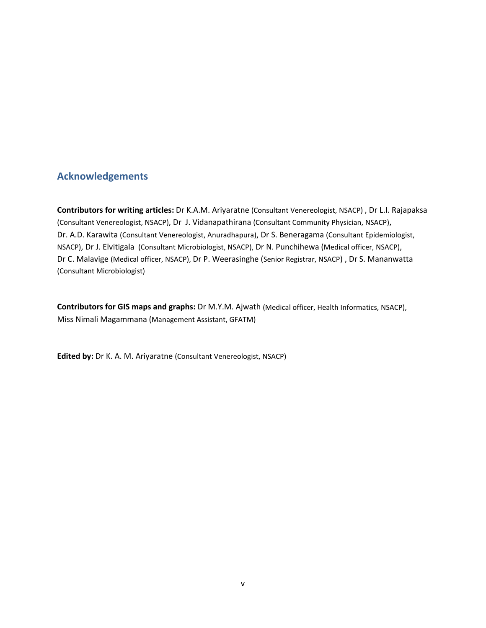### **Acknowledgements**

**Contributors for writing articles:** Dr K.A.M. Ariyaratne (Consultant Venereologist, NSACP) , Dr L.I. Rajapaksa (Consultant Venereologist, NSACP), Dr J. Vidanapathirana (Consultant Community Physician, NSACP), Dr. A.D. Karawita (Consultant Venereologist, Anuradhapura), Dr S. Beneragama (Consultant Epidemiologist, NSACP), Dr J. Elvitigala (Consultant Microbiologist, NSACP), Dr N. Punchihewa (Medical officer, NSACP), Dr C. Malavige (Medical officer, NSACP), Dr P. Weerasinghe (Senior Registrar, NSACP) , Dr S. Mananwatta (Consultant Microbiologist)

**Contributors for GIS maps and graphs:** Dr M.Y.M. Ajwath (Medical officer, Health Informatics, NSACP), Miss Nimali Magammana (Management Assistant, GFATM)

**Edited by:** Dr K. A. M. Ariyaratne (Consultant Venereologist, NSACP)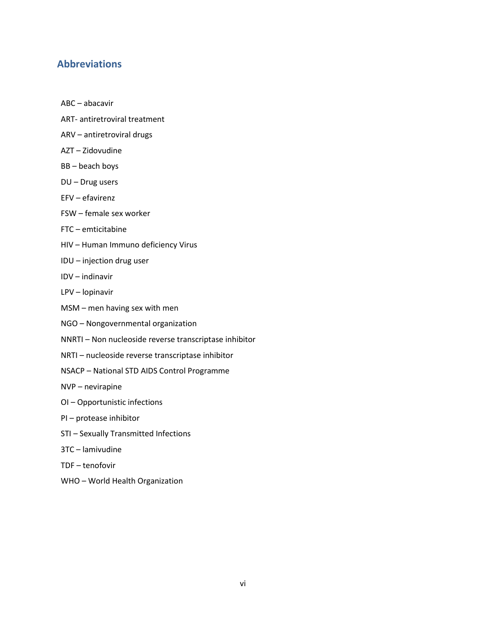### <span id="page-6-0"></span>**Abbreviations**

- ABC abacavir
- ART- antiretroviral treatment
- ARV antiretroviral drugs
- AZT Zidovudine
- BB beach boys
- DU Drug users
- EFV efavirenz
- FSW female sex worker
- FTC emticitabine
- HIV Human Immuno deficiency Virus
- IDU injection drug user
- IDV indinavir
- LPV lopinavir
- MSM men having sex with men
- NGO Nongovernmental organization
- NNRTI Non nucleoside reverse transcriptase inhibitor
- NRTI nucleoside reverse transcriptase inhibitor
- NSACP National STD AIDS Control Programme
- NVP nevirapine
- OI Opportunistic infections
- PI protease inhibitor
- STI Sexually Transmitted Infections
- 3TC lamivudine
- TDF tenofovir
- WHO World Health Organization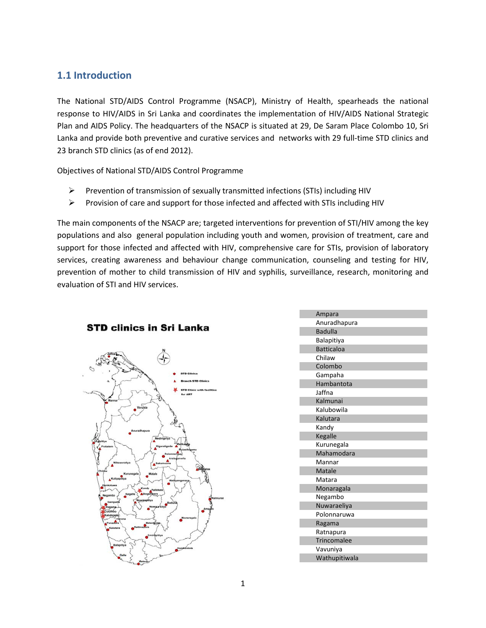### <span id="page-7-0"></span>**1.1 Introduction**

The National STD/AIDS Control Programme (NSACP), Ministry of Health, spearheads the national response to HIV/AIDS in Sri Lanka and coordinates the implementation of HIV/AIDS National Strategic Plan and AIDS Policy. The headquarters of the NSACP is situated at 29, De Saram Place Colombo 10, Sri Lanka and provide both preventive and curative services and networks with 29 full-time STD clinics and 23 branch STD clinics (as of end 2012).

Objectives of National STD/AIDS Control Programme

- **Prevention of transmission of sexually transmitted infections (STIs) including HIV**
- $\triangleright$  Provision of care and support for those infected and affected with STIs including HIV

The main components of the NSACP are; targeted interventions for prevention of STI/HIV among the key populations and also general population including youth and women, provision of treatment, care and support for those infected and affected with HIV, comprehensive care for STIs, provision of laboratory services, creating awareness and behaviour change communication, counseling and testing for HIV, prevention of mother to child transmission of HIV and syphilis, surveillance, research, monitoring and evaluation of STI and HIV services.



| Ampara             |
|--------------------|
| Anuradhapura       |
| <b>Badulla</b>     |
| Balapitiya         |
| <b>Batticaloa</b>  |
| Chilaw             |
| Colombo            |
| Gampaha            |
| Hambantota         |
| Jaffna             |
| Kalmunai           |
| Kalubowila         |
| Kalutara           |
| Kandy              |
| Kegalle            |
| Kurunegala         |
| Mahamodara         |
| Mannar             |
| <b>Matale</b>      |
| Matara             |
| Monaragala         |
| Negambo            |
| Nuwaraeliya        |
| Polonnaruwa        |
| Ragama             |
| Ratnapura          |
| <b>Trincomalee</b> |
| Vavuniya           |
| Wathupitiwala      |

### **STD clinics in Sri Lanka**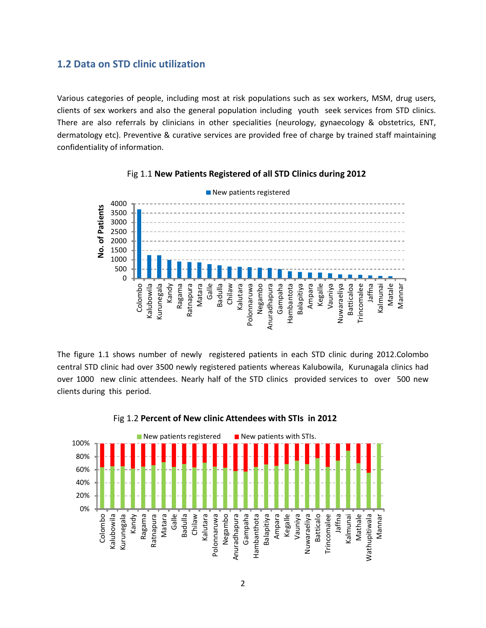### <span id="page-8-0"></span>**1.2 Data on STD clinic utilization**

Various categories of people, including most at risk populations such as sex workers, MSM, drug users, clients of sex workers and also the general population including youth seek services from STD clinics. There are also referrals by clinicians in other specialities (neurology, gynaecology & obstetrics, ENT, dermatology etc). Preventive & curative services are provided free of charge by trained staff maintaining confidentiality of information.





The figure 1.1 shows number of newly registered patients in each STD clinic during 2012.Colombo central STD clinic had over 3500 newly registered patients whereas Kalubowila, Kurunagala clinics had over 1000 new clinic attendees. Nearly half of the STD clinics provided services to over 500 new clients during this period.



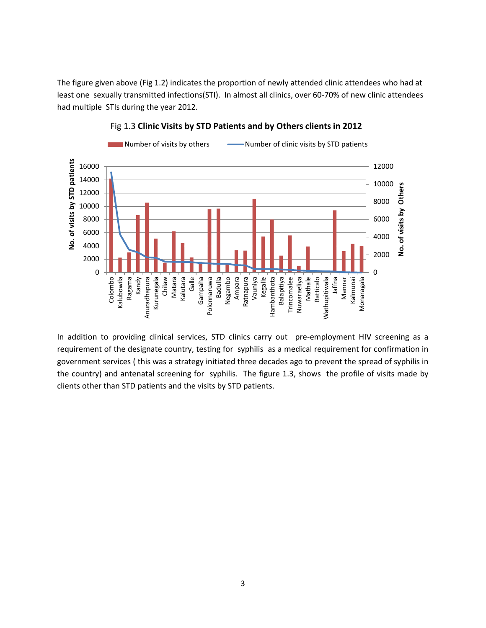The figure given above (Fig 1.2) indicates the proportion of newly attended clinic attendees who had at least one sexually transmitted infections(STI). In almost all clinics, over 60-70% of new clinic attendees had multiple STIs during the year 2012.



### Fig 1.3 **Clinic Visits by STD Patients and by Others clients in 2012**

<span id="page-9-0"></span>In addition to providing clinical services, STD clinics carry out pre-employment HIV screening as a requirement of the designate country, testing for syphilis as a medical requirement for confirmation in government services ( this was a strategy initiated three decades ago to prevent the spread of syphilis in the country) and antenatal screening for syphilis. The figure 1.3, shows the profile of visits made by clients other than STD patients and the visits by STD patients.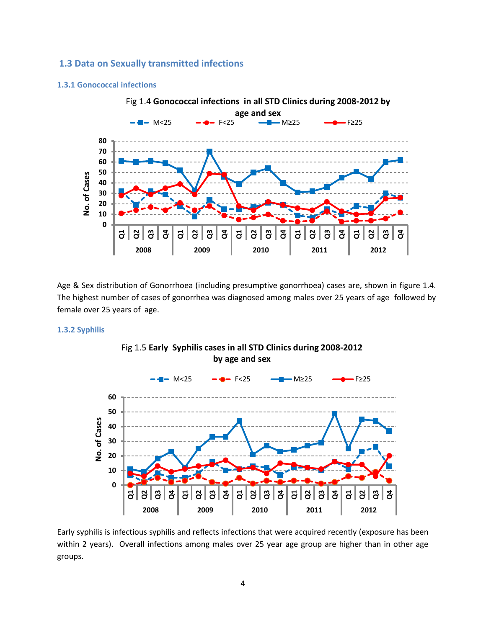### **1.3 Data on Sexually transmitted infections**

#### <span id="page-10-0"></span>**1.3.1 Gonococcal infections**



Age & Sex distribution of Gonorrhoea (including presumptive gonorrhoea) cases are, shown in figure 1.4. The highest number of cases of gonorrhea was diagnosed among males over 25 years of age followed by female over 25 years of age.

#### <span id="page-10-1"></span>**1.3.2 Syphilis**



### Fig 1.5 **Early Syphilis cases in all STD Clinics during 2008-2012 by age and sex**

Early syphilis is infectious syphilis and reflects infections that were acquired recently (exposure has been within 2 years). Overall infections among males over 25 year age group are higher than in other age groups.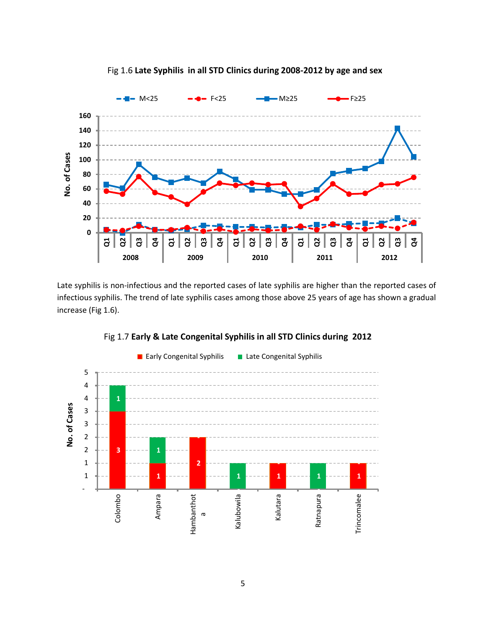

Fig 1.6 **Late Syphilis in all STD Clinics during 2008-2012 by age and sex**

Late syphilis is non-infectious and the reported cases of late syphilis are higher than the reported cases of infectious syphilis. The trend of late syphilis cases among those above 25 years of age has shown a gradual increase (Fig 1.6).



### Fig 1.7 **Early & Late Congenital Syphilis in all STD Clinics during 2012**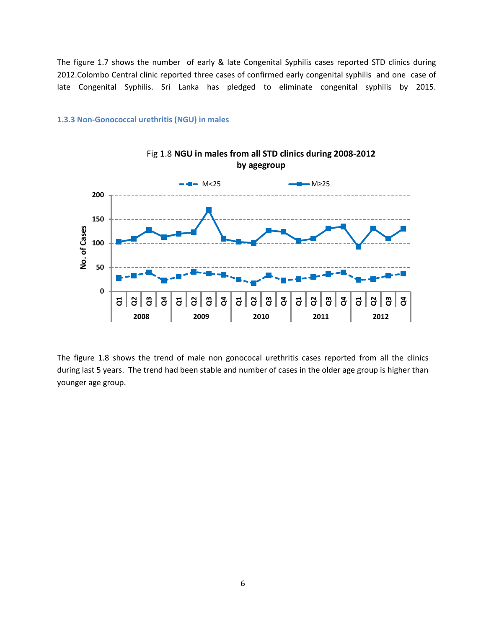The figure 1.7 shows the number of early & late Congenital Syphilis cases reported STD clinics during 2012.Colombo Central clinic reported three cases of confirmed early congenital syphilis and one case of late Congenital Syphilis. Sri Lanka has pledged to eliminate congenital syphilis by 2015.



#### <span id="page-12-0"></span>**1.3.3 Non-Gonococcal urethritis (NGU) in males**

The figure 1.8 shows the trend of male non gonococal urethritis cases reported from all the clinics during last 5 years. The trend had been stable and number of cases in the older age group is higher than younger age group.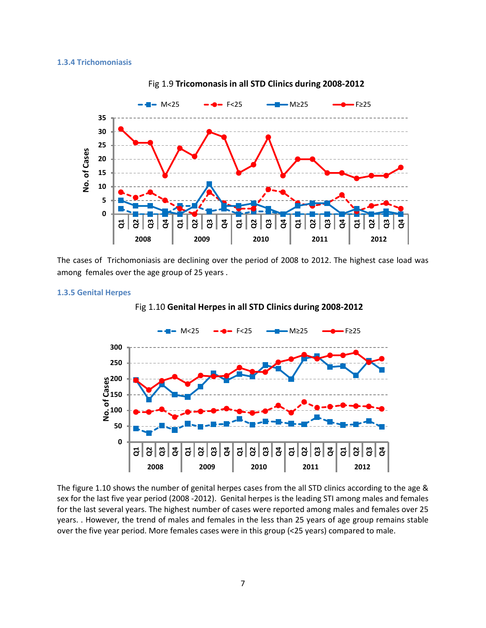#### <span id="page-13-0"></span>**1.3.4 Trichomoniasis**



#### Fig 1.9 **Tricomonasis in all STD Clinics during 2008-2012**

The cases of Trichomoniasis are declining over the period of 2008 to 2012. The highest case load was among females over the age group of 25 years .



#### <span id="page-13-1"></span>**1.3.5 Genital Herpes**

Fig 1.10 **Genital Herpes in all STD Clinics during 2008-2012**

The figure 1.10 shows the number of genital herpes cases from the all STD clinics according to the age & sex for the last five year period (2008 -2012). Genital herpes is the leading STI among males and females for the last several years. The highest number of cases were reported among males and females over 25 years. . However, the trend of males and females in the less than 25 years of age group remains stable over the five year period. More females cases were in this group (<25 years) compared to male.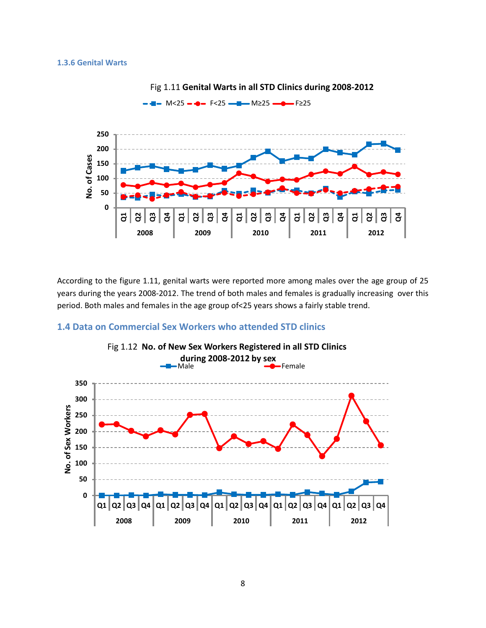<span id="page-14-0"></span>

Fig 1.11 **Genital Warts in all STD Clinics during 2008-2012**

According to the figure 1.11, genital warts were reported more among males over the age group of 25 years during the years 2008-2012. The trend of both males and females is gradually increasing over this period. Both males and females in the age group of<25 years shows a fairly stable trend.

### <span id="page-14-1"></span>**1.4 Data on Commercial Sex Workers who attended STD clinics**

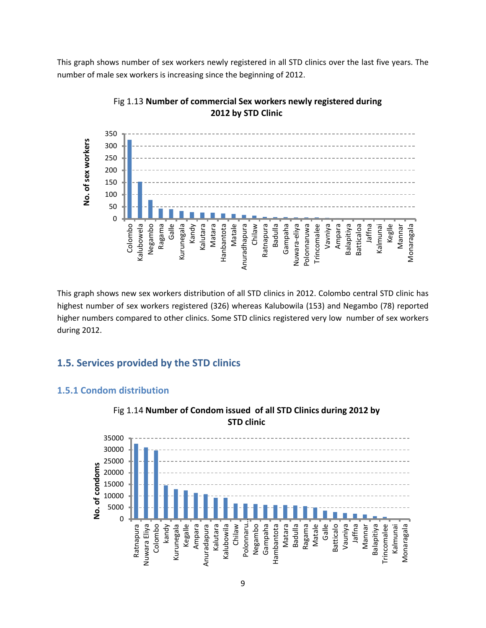This graph shows number of sex workers newly registered in all STD clinics over the last five years. The number of male sex workers is increasing since the beginning of 2012.





This graph shows new sex workers distribution of all STD clinics in 2012. Colombo central STD clinic has highest number of sex workers registered (326) whereas Kalubowila (153) and Negambo (78) reported higher numbers compared to other clinics. Some STD clinics registered very low number of sex workers during 2012.

### <span id="page-15-0"></span>**1.5. Services provided by the STD clinics**

### <span id="page-15-1"></span>**1.5.1 Condom distribution**



### Fig 1.14 **Number of Condom issued of all STD Clinics during 2012 by STD clinic**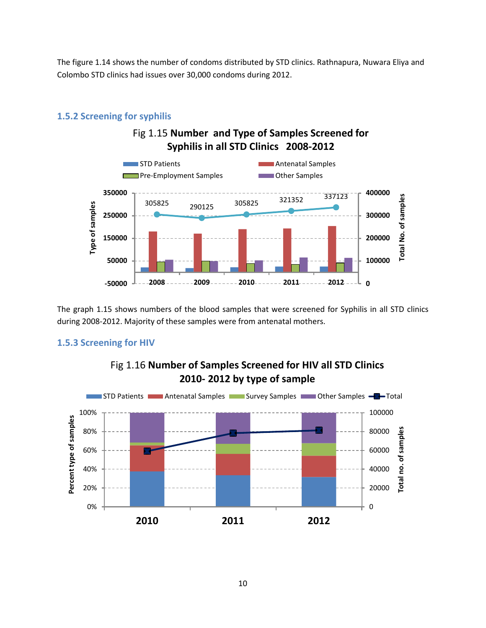The figure 1.14 shows the number of condoms distributed by STD clinics. Rathnapura, Nuwara Eliya and Colombo STD clinics had issues over 30,000 condoms during 2012.



Fig 1.15 **Number and Type of Samples Screened for** 

### <span id="page-16-0"></span>**1.5.2 Screening for syphilis**

The graph 1.15 shows numbers of the blood samples that were screened for Syphilis in all STD clinics during 2008-2012. Majority of these samples were from antenatal mothers.

### <span id="page-16-1"></span>**1.5.3 Screening for HIV**



### Fig 1.16 **Number of Samples Screened for HIV all STD Clinics 2010- 2012 by type of sample**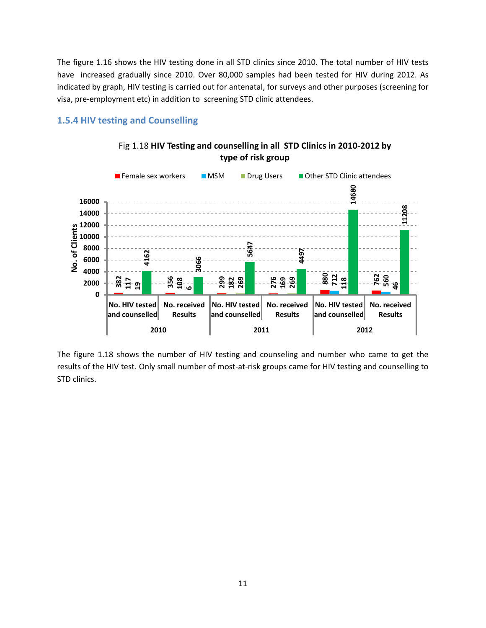The figure 1.16 shows the HIV testing done in all STD clinics since 2010. The total number of HIV tests have increased gradually since 2010. Over 80,000 samples had been tested for HIV during 2012. As indicated by graph, HIV testing is carried out for antenatal, for surveys and other purposes (screening for visa, pre-employment etc) in addition to screening STD clinic attendees.

### <span id="page-17-0"></span>**1.5.4 HIV testing and Counselling**



### Fig 1.18 **HIV Testing and counselling in all STD Clinics in 2010-2012 by type of risk group**

The figure 1.18 shows the number of HIV testing and counseling and number who came to get the results of the HIV test. Only small number of most-at-risk groups came for HIV testing and counselling to STD clinics.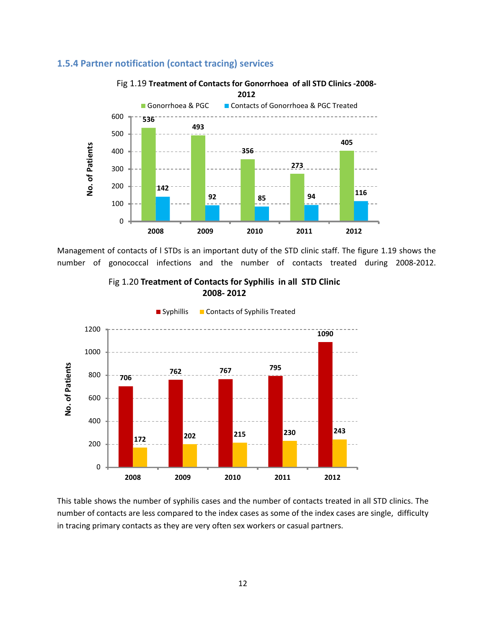

### <span id="page-18-0"></span>**1.5.4 Partner notification (contact tracing) services**

Management of contacts of l STDs is an important duty of the STD clinic staff. The figure 1.19 shows the number of gonococcal infections and the number of contacts treated during 2008-2012.





 $\blacksquare$  Syphillis  $\blacksquare$  Contacts of Syphilis Treated

This table shows the number of syphilis cases and the number of contacts treated in all STD clinics. The number of contacts are less compared to the index cases as some of the index cases are single, difficulty in tracing primary contacts as they are very often sex workers or casual partners.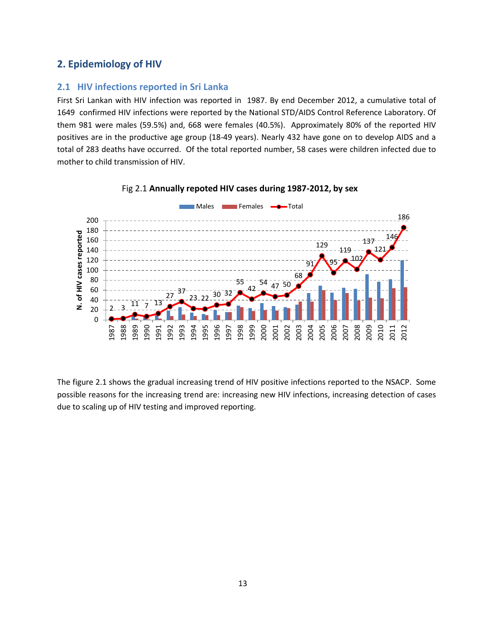### <span id="page-19-0"></span>**2. Epidemiology of HIV**

### <span id="page-19-1"></span>**2.1 HIV infections reported in Sri Lanka**

First Sri Lankan with HIV infection was reported in 1987. By end December 2012, a cumulative total of 1649 confirmed HIV infections were reported by the National STD/AIDS Control Reference Laboratory. Of them 981 were males (59.5%) and, 668 were females (40.5%). Approximately 80% of the reported HIV positives are in the productive age group (18-49 years). Nearly 432 have gone on to develop AIDS and a total of 283 deaths have occurred. Of the total reported number, 58 cases were children infected due to mother to child transmission of HIV.



Fig 2.1 **Annually repoted HIV cases during 1987-2012, by sex**

The figure 2.1 shows the gradual increasing trend of HIV positive infections reported to the NSACP. Some possible reasons for the increasing trend are: increasing new HIV infections, increasing detection of cases due to scaling up of HIV testing and improved reporting.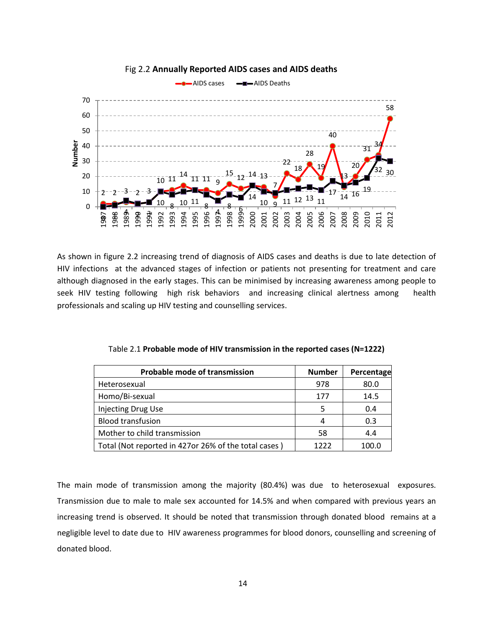

As shown in figure 2.2 increasing trend of diagnosis of AIDS cases and deaths is due to late detection of HIV infections at the advanced stages of infection or patients not presenting for treatment and care although diagnosed in the early stages. This can be minimised by increasing awareness among people to seek HIV testing following high risk behaviors and increasing clinical alertness among health professionals and scaling up HIV testing and counselling services.

| Probable mode of transmission                        | <b>Number</b> | Percentage |
|------------------------------------------------------|---------------|------------|
| Heterosexual                                         | 978           | 80.0       |
| Homo/Bi-sexual                                       | 177           | 14.5       |
| Injecting Drug Use                                   |               | 0.4        |
| <b>Blood transfusion</b>                             |               | 0.3        |
| Mother to child transmission                         | 58            | 4.4        |
| Total (Not reported in 427or 26% of the total cases) | 1222          | 100.0      |

Table 2.1 **Probable mode of HIV transmission in the reported cases (N=1222)**

The main mode of transmission among the majority (80.4%) was due to heterosexual exposures. Transmission due to male to male sex accounted for 14.5% and when compared with previous years an increasing trend is observed. It should be noted that transmission through donated blood remains at a negligible level to date due to HIV awareness programmes for blood donors, counselling and screening of donated blood.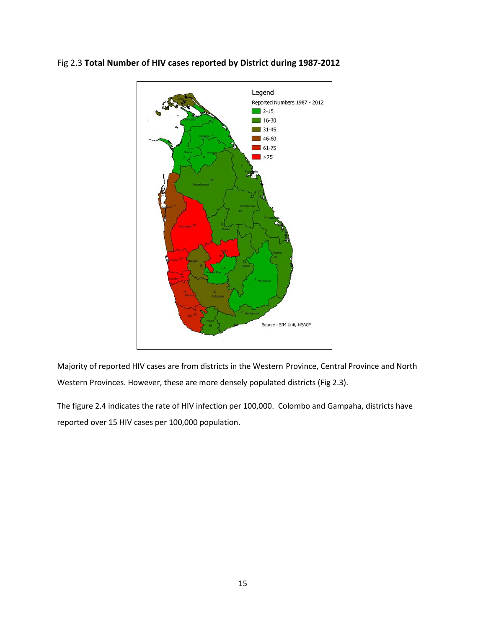

Fig 2.3 **Total Number of HIV cases reported by District during 1987-2012**

Majority of reported HIV cases are from districts in the Western Province, Central Province and North Western Provinces. However, these are more densely populated districts (Fig 2.3).

The figure 2.4 indicates the rate of HIV infection per 100,000. Colombo and Gampaha, districts have reported over 15 HIV cases per 100,000 population.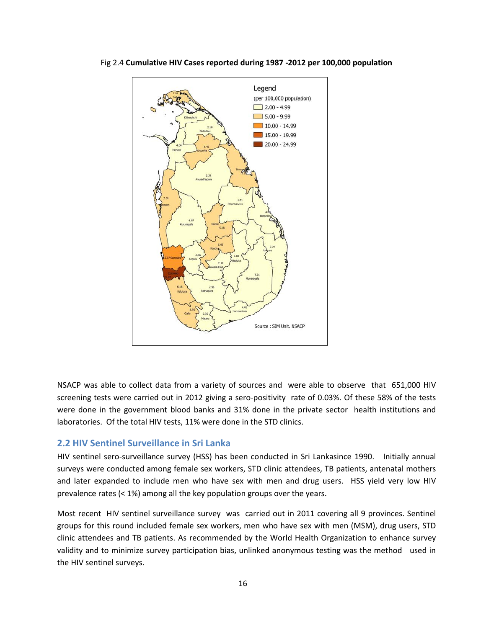



NSACP was able to collect data from a variety of sources and were able to observe that 651,000 HIV screening tests were carried out in 2012 giving a sero-positivity rate of 0.03%. Of these 58% of the tests were done in the government blood banks and 31% done in the private sector health institutions and laboratories. Of the total HIV tests, 11% were done in the STD clinics.

### <span id="page-22-0"></span>**2.2 HIV Sentinel Surveillance in Sri Lanka**

HIV sentinel sero-surveillance survey (HSS) has been conducted in Sri Lankasince 1990. Initially annual surveys were conducted among female sex workers, STD clinic attendees, TB patients, antenatal mothers and later expanded to include men who have sex with men and drug users. HSS yield very low HIV prevalence rates (< 1%) among all the key population groups over the years.

Most recent HIV sentinel surveillance survey was carried out in 2011 covering all 9 provinces. Sentinel groups for this round included female sex workers, men who have sex with men (MSM), drug users, STD clinic attendees and TB patients. As recommended by the World Health Organization to enhance survey validity and to minimize survey participation bias, unlinked anonymous testing was the method used in the HIV sentinel surveys.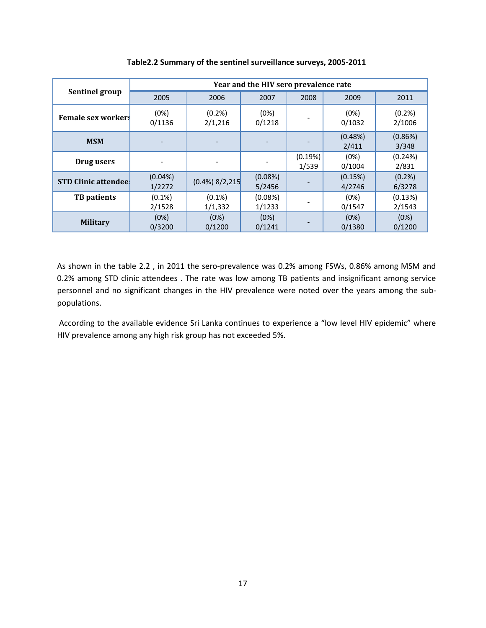|                            | Year and the HIV sero prevalence rate |                      |                   |                  |                   |                   |
|----------------------------|---------------------------------------|----------------------|-------------------|------------------|-------------------|-------------------|
| Sentinel group             | 2005                                  | 2006                 | 2007              | 2008             | 2009              | 2011              |
| <b>Female sex workers</b>  | (0%)<br>0/1136                        | (0.2%<br>2/1,216     | (0%)<br>0/1218    |                  | (0%)<br>0/1032    | (0.2%<br>2/1006   |
| <b>MSM</b>                 |                                       |                      |                   |                  | (0.48%)<br>2/411  | (0.86%)<br>3/348  |
| Drug users                 |                                       |                      |                   | (0.19%)<br>1/539 | (0%)<br>0/1004    | (0.24%)<br>2/831  |
| <b>STD Clinic attendee</b> | $(0.04\%)$<br>1/2272                  | $(0.4\%)$ 8/2,215    | (0.08%)<br>5/2456 |                  | (0.15%)<br>4/2746 | (0.2% )<br>6/3278 |
| <b>TB</b> patients         | $(0.1\%)$<br>2/1528                   | $(0.1\%)$<br>1/1,332 | (0.08%)<br>1/1233 |                  | (0%)<br>0/1547    | (0.13%)<br>2/1543 |
| <b>Military</b>            | (0%)<br>0/3200                        | (0%)<br>0/1200       | (0%)<br>0/1241    |                  | (0%)<br>0/1380    | (0%)<br>0/1200    |

**Table2.2 Summary of the sentinel surveillance surveys, 2005-2011**

As shown in the table 2.2 , in 2011 the sero-prevalence was 0.2% among FSWs, 0.86% among MSM and 0.2% among STD clinic attendees . The rate was low among TB patients and insignificant among service personnel and no significant changes in the HIV prevalence were noted over the years among the subpopulations.

According to the available evidence Sri Lanka continues to experience a "low level HIV epidemic" where HIV prevalence among any high risk group has not exceeded 5%.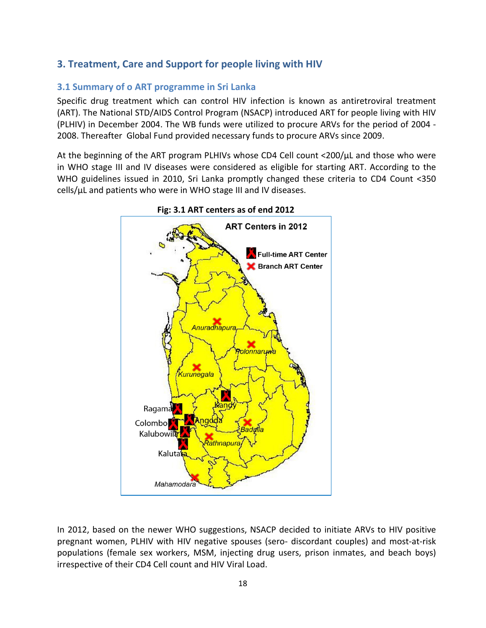### <span id="page-24-0"></span>**3. Treatment, Care and Support for people living with HIV**

### <span id="page-24-1"></span>**3.1 Summary of o ART programme in Sri Lanka**

Specific drug treatment which can control HIV infection is known as antiretroviral treatment (ART). The National STD/AIDS Control Program (NSACP) introduced ART for people living with HIV (PLHIV) in December 2004. The WB funds were utilized to procure ARVs for the period of 2004 - 2008. Thereafter Global Fund provided necessary funds to procure ARVs since 2009.

At the beginning of the ART program PLHIVs whose CD4 Cell count <200/μL and those who were in WHO stage III and IV diseases were considered as eligible for starting ART. According to the WHO guidelines issued in 2010, Sri Lanka promptly changed these criteria to CD4 Count <350 cells/μL and patients who were in WHO stage III and IV diseases.



In 2012, based on the newer WHO suggestions, NSACP decided to initiate ARVs to HIV positive pregnant women, PLHIV with HIV negative spouses (sero- discordant couples) and most-at-risk populations (female sex workers, MSM, injecting drug users, prison inmates, and beach boys) irrespective of their CD4 Cell count and HIV Viral Load.

**Fig: 3.1 ART centers as of end 2012**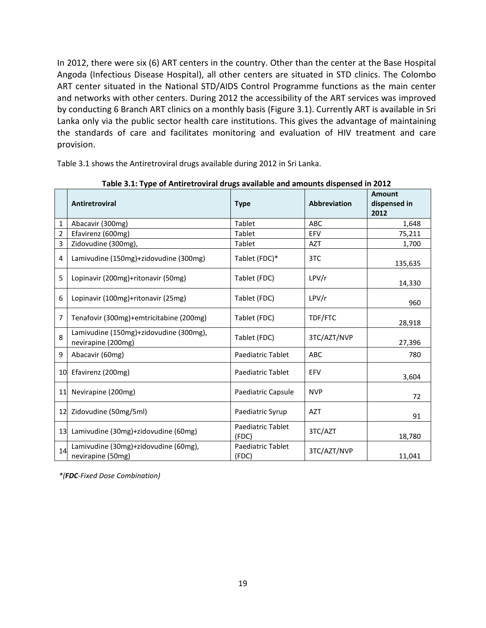In 2012, there were six (6) ART centers in the country. Other than the center at the Base Hospital Angoda (Infectious Disease Hospital), all other centers are situated in STD clinics. The Colombo ART center situated in the National STD/AIDS Control Programme functions as the main center and networks with other centers. During 2012 the accessibility of the ART services was improved by conducting 6 Branch ART clinics on a monthly basis (Figure 3.1). Currently ART is available in Sri Lanka only via the public sector health care institutions. This gives the advantage of maintaining the standards of care and facilitates monitoring and evaluation of HIV treatment and care provision.

Table 3.1 shows the Antiretroviral drugs available during 2012 in Sri Lanka.

|                | <b>Antiretroviral</b>                                        | <b>Type</b>                       | <b>Abbreviation</b> | <b>Amount</b><br>dispensed in<br>2012 |
|----------------|--------------------------------------------------------------|-----------------------------------|---------------------|---------------------------------------|
| 1              | Abacavir (300mg)                                             | Tablet                            | <b>ABC</b>          | 1,648                                 |
| $\overline{2}$ | Efavirenz (600mg)                                            | <b>Tablet</b>                     | EFV                 | 75,211                                |
| 3              | Zidovudine (300mg),                                          | Tablet                            | <b>AZT</b>          | 1,700                                 |
| 4              | Lamivudine (150mg)+zidovudine (300mg)                        | Tablet (FDC)*                     | 3TC                 | 135,635                               |
| 5              | Lopinavir (200mg)+ritonavir (50mg)                           | Tablet (FDC)                      | LPV/r               | 14,330                                |
| 6              | Lopinavir (100mg)+ritonavir (25mg)                           | Tablet (FDC)                      | LPV/r               | 960                                   |
| 7              | Tenafovir (300mg)+emtricitabine (200mg)                      | Tablet (FDC)                      | TDF/FTC             | 28,918                                |
| 8              | Lamivudine (150mg)+zidovudine (300mg),<br>nevirapine (200mg) | Tablet (FDC)                      | 3TC/AZT/NVP         | 27,396                                |
| 9              | Abacavir (60mg)                                              | Paediatric Tablet                 | <b>ABC</b>          | 780                                   |
|                | 10 Efavirenz (200mg)                                         | <b>Paediatric Tablet</b>          | EFV                 | 3,604                                 |
| 11             | Nevirapine (200mg)                                           | Paediatric Capsule                | <b>NVP</b>          | 72                                    |
| 12             | Zidovudine (50mg/5ml)                                        | Paediatric Syrup                  | <b>AZT</b>          | 91                                    |
| 13             | Lamivudine (30mg)+zidovudine (60mg)                          | <b>Paediatric Tablet</b><br>(FDC) | 3TC/AZT             | 18,780                                |
| 14             | Lamivudine (30mg)+zidovudine (60mg),<br>nevirapine (50mg)    | <b>Paediatric Tablet</b><br>(FDC) | 3TC/AZT/NVP         | 11,041                                |

**Table 3.1: Type of Antiretroviral drugs available and amounts dispensed in 2012**

*\*(FDC-Fixed Dose Combination)*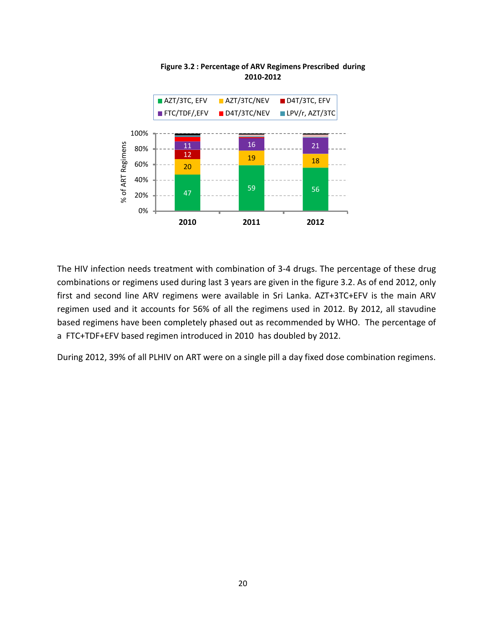

### **Figure 3.2 : Percentage of ARV Regimens Prescribed during 2010-2012**

The HIV infection needs treatment with combination of 3-4 drugs. The percentage of these drug combinations or regimens used during last 3 years are given in the figure 3.2. As of end 2012, only first and second line ARV regimens were available in Sri Lanka. AZT+3TC+EFV is the main ARV regimen used and it accounts for 56% of all the regimens used in 2012. By 2012, all stavudine based regimens have been completely phased out as recommended by WHO. The percentage of a FTC+TDF+EFV based regimen introduced in 2010 has doubled by 2012.

During 2012, 39% of all PLHIV on ART were on a single pill a day fixed dose combination regimens.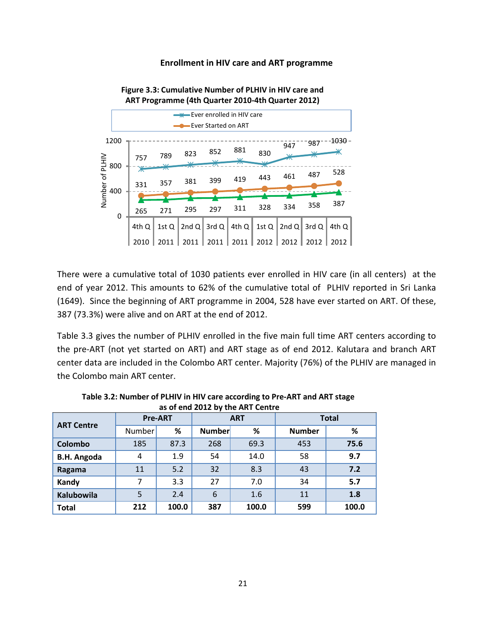### **Enrollment in HIV care and ART programme**



### **Figure 3.3: Cumulative Number of PLHIV in HIV care and ART Programme (4th Quarter 2010-4th Quarter 2012)**

There were a cumulative total of 1030 patients ever enrolled in HIV care (in all centers) at the end of year 2012. This amounts to 62% of the cumulative total of PLHIV reported in Sri Lanka (1649). Since the beginning of ART programme in 2004, 528 have ever started on ART. Of these, 387 (73.3%) were alive and on ART at the end of 2012.

Table 3.3 gives the number of PLHIV enrolled in the five main full time ART centers according to the pre-ART (not yet started on ART) and ART stage as of end 2012. Kalutara and branch ART center data are included in the Colombo ART center. Majority (76%) of the PLHIV are managed in the Colombo main ART center.

| as of the zone by the AKT centre |        |                |               |       |               |       |
|----------------------------------|--------|----------------|---------------|-------|---------------|-------|
| <b>ART Centre</b>                |        | <b>Pre-ART</b> | <b>ART</b>    |       | <b>Total</b>  |       |
|                                  | Number | %              | <b>Number</b> | %     | <b>Number</b> | %     |
| Colombo                          | 185    | 87.3           | 268           | 69.3  | 453           | 75.6  |
| <b>B.H. Angoda</b>               | 4      | 1.9            | 54            | 14.0  | 58            | 9.7   |
| Ragama                           | 11     | 5.2            | 32            | 8.3   | 43            | 7.2   |
| Kandy                            | 7      | 3.3            | 27            | 7.0   | 34            | 5.7   |
| <b>Kalubowila</b>                | 5      | 2.4            | 6             | 1.6   | 11            | 1.8   |
| <b>Total</b>                     | 212    | 100.0          | 387           | 100.0 | 599           | 100.0 |

**Table 3.2: Number of PLHIV in HIV care according to Pre-ART and ART stage as of end 2012 by the ART Centre**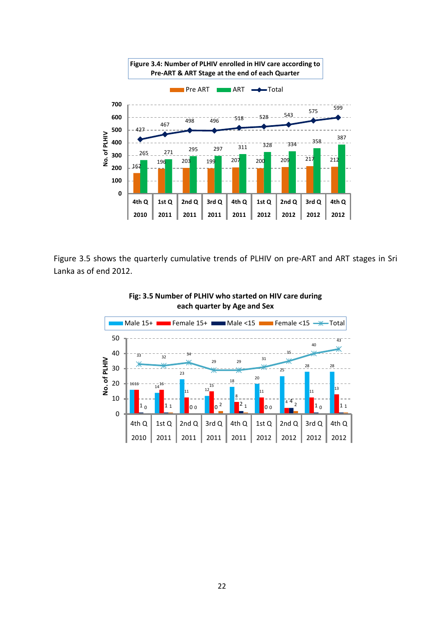

Figure 3.5 shows the quarterly cumulative trends of PLHIV on pre-ART and ART stages in Sri Lanka as of end 2012.



**Fig: 3.5 Number of PLHIV who started on HIV care during each quarter by Age and Sex**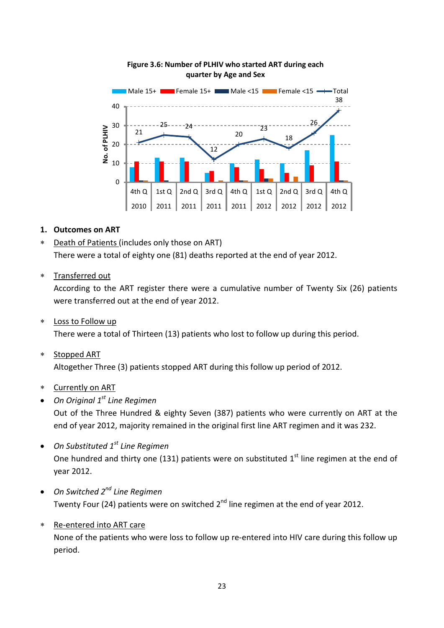

### **Figure 3.6: Number of PLHIV who started ART during each quarter by Age and Sex**

- **1. Outcomes on ART**
- Death of Patients (includes only those on ART) There were a total of eighty one (81) deaths reported at the end of year 2012.
- ∗ Transferred out

According to the ART register there were a cumulative number of Twenty Six (26) patients were transferred out at the end of year 2012.

Loss to Follow up

There were a total of Thirteen (13) patients who lost to follow up during this period.

∗ Stopped ART

Altogether Three (3) patients stopped ART during this follow up period of 2012.

- **Currently on ART**
- *On Original 1st Line Regimen*

Out of the Three Hundred & eighty Seven (387) patients who were currently on ART at the end of year 2012, majority remained in the original first line ART regimen and it was 232.

• *On Substituted 1st Line Regimen*

One hundred and thirty one (131) patients were on substituted  $1<sup>st</sup>$  line regimen at the end of year 2012.

- *On Switched 2nd Line Regimen* Twenty Four (24) patients were on switched  $2^{nd}$  line regimen at the end of year 2012.
- ∗ Re-entered into ART care

None of the patients who were loss to follow up re-entered into HIV care during this follow up period.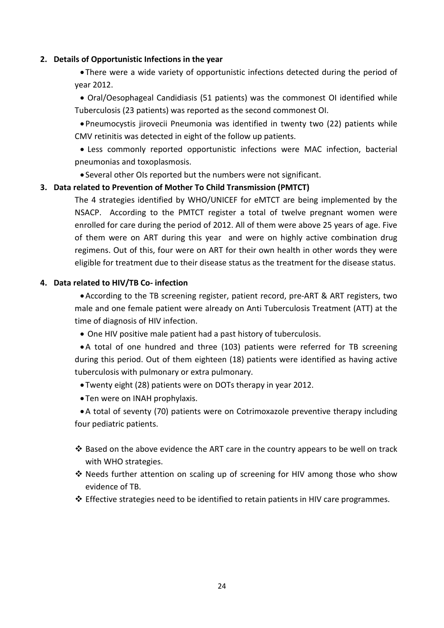### **2. Details of Opportunistic Infections in the year**

• There were a wide variety of opportunistic infections detected during the period of year 2012.

• Oral/Oesophageal Candidiasis (51 patients) was the commonest OI identified while Tuberculosis (23 patients) was reported as the second commonest OI.

• Pneumocystis jirovecii Pneumonia was identified in twenty two (22) patients while CMV retinitis was detected in eight of the follow up patients.

• Less commonly reported opportunistic infections were MAC infection, bacterial pneumonias and toxoplasmosis.

• Several other OIs reported but the numbers were not significant.

### **3. Data related to Prevention of Mother To Child Transmission (PMTCT)**

The 4 strategies identified by WHO/UNICEF for eMTCT are being implemented by the NSACP. According to the PMTCT register a total of twelve pregnant women were enrolled for care during the period of 2012. All of them were above 25 years of age. Five of them were on ART during this year and were on highly active combination drug regimens. Out of this, four were on ART for their own health in other words they were eligible for treatment due to their disease status as the treatment for the disease status.

### **4. Data related to HIV/TB Co- infection**

•According to the TB screening register, patient record, pre-ART & ART registers, two male and one female patient were already on Anti Tuberculosis Treatment (ATT) at the time of diagnosis of HIV infection.

• One HIV positive male patient had a past history of tuberculosis.

•A total of one hundred and three (103) patients were referred for TB screening during this period. Out of them eighteen (18) patients were identified as having active tuberculosis with pulmonary or extra pulmonary.

• Twenty eight (28) patients were on DOTs therapy in year 2012.

• Ten were on INAH prophylaxis.

•A total of seventy (70) patients were on Cotrimoxazole preventive therapy including four pediatric patients.

- $\cdot$  Based on the above evidence the ART care in the country appears to be well on track with WHO strategies.
- ❖ Needs further attention on scaling up of screening for HIV among those who show evidence of TB.

 $\clubsuit$  Effective strategies need to be identified to retain patients in HIV care programmes.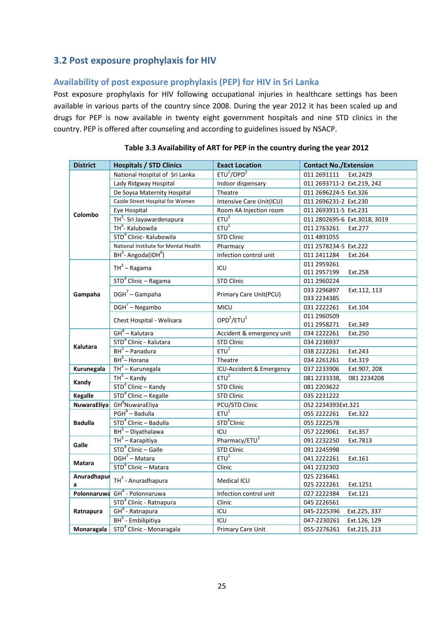### <span id="page-31-1"></span><span id="page-31-0"></span>**3.2 Post exposure prophylaxis for HIV**

### **Availability of post exposure prophylaxis (PEP) for HIV in Sri Lanka**

Post exposure prophylaxis for HIV following occupational injuries in healthcare settings has been available in various parts of the country since 2008. During the year 2012 it has been scaled up and drugs for PEP is now available in twenty eight government hospitals and nine STD clinics in the country. PEP is offered after counseling and according to guidelines issued by NSACP.

| <b>District</b> | <b>Hospitals / STD Clinics</b>        | <b>Exact Location</b>              | <b>Contact No./Extension</b> |
|-----------------|---------------------------------------|------------------------------------|------------------------------|
|                 | National Hospital of Sri Lanka        | ETU <sup>1</sup> /OPD <sup>2</sup> | 011 2691111<br>Ext.2429      |
|                 | Lady Ridgway Hospital                 | Indoor dispensary                  | 011 2693711-2 Ext.219, 242   |
|                 | De Soysa Maternity Hospital           | Theatre                            | 011 2696224-5 Ext.326        |
|                 | Castle Street Hospital for Women      | Intensive Care Unit(ICU)           | 011 2696231-2 Ext.230        |
|                 | Eye Hospital                          | Room 4A Injection room             | 011 2693911-5 Ext.231        |
| Colombo         | TH <sup>3</sup> - Sri Jayawardenapura | ETU <sup>1</sup>                   | 011 2802695-6 Ext.3018, 3019 |
|                 | $TH^3$ - Kalubowila                   | ETU <sup>1</sup>                   | 011 2763261<br>Ext.277       |
|                 | STD <sup>4</sup> Clinic- Kalubowila   | <b>STD Clinic</b>                  | 011 4891055                  |
|                 | National Institute for Mental Health  | Pharmacy                           | 011 2578234-5 Ext.222        |
|                 | $BH5$ - Angoda(IDH <sup>6</sup> )     | Infection control unit             | 011 2411284<br>Ext.264       |
|                 | $TH3 - Ragama$                        | ICU                                | 011 2959261                  |
|                 |                                       |                                    | 011 2957199<br>Ext.258       |
|                 | $STD4$ Clinic - Ragama                | <b>STD Clinic</b>                  | 011 2960224                  |
| Gampaha         | $DGH7 - Gampaha$                      | Primary Care Unit(PCU)             | 033 2296897<br>Ext.112, 113  |
|                 |                                       |                                    | 033 2234385                  |
|                 | $DGH^7 - Negambo$                     | MICU                               | Ext.104<br>031 2222261       |
|                 | Chest Hospital - Welisara             | OPD <sup>2</sup> /ETU <sup>1</sup> | 011 2960509                  |
|                 |                                       |                                    | 011 2958271<br>Ext.349       |
|                 | $GH8 - Kalutara$                      | Accident & emergency unit          | 034 2222261<br>Ext.250       |
| Kalutara        | STD <sup>4</sup> Clinic - Kalutara    | <b>STD Clinic</b>                  | 034 2236937                  |
|                 | $BH5 - Panadura$                      | ETU <sup>1</sup>                   | 038 2222261<br>Ext.243       |
|                 | $BH5$ -Horana                         | Theatre                            | 034 2261261<br>Ext.319       |
| Kurunegala      | $TH3 - Kurunegala$                    | ICU-Accident & Emergency           | 037 2233906<br>Ext.907, 208  |
| Kandy           | $TH^3 -$ Kandy                        | ETU <sup>1</sup>                   | 081 2233338,<br>081 2234208  |
|                 | $STD4$ Clinic – Kandy                 | <b>STD Clinic</b>                  | 081 2203622                  |
| <b>Kegalle</b>  | $STD4$ Clinic – Kegalle               | <b>STD Clinic</b>                  | 035 2231222                  |
| NuwaraEliya     | GH <sup>8</sup> NuwaraEliya           | PCU/STD Clinic                     | 052 2234393Ext.321           |
|                 | PGH <sup>9</sup> – Badulla            | ETU <sup>1</sup>                   | 055 2222261<br>Ext.322       |
| <b>Badulla</b>  | $STD4$ Clinic - Badulla               | STD <sup>4</sup> Clinic            | 055 2222578                  |
|                 | BH <sup>5</sup> - Diyathalawa         | ICU                                | 057 2229061<br>Ext.357       |
| Galle           | $TH3 - Karapitiya$                    | Pharmacy/ETU <sup>1</sup>          | 091 2232250<br>Ext.7813      |
|                 | $STD4$ Clinic – Galle                 | <b>STD Clinic</b>                  | 091 2245998                  |
| Matara          | $\overline{DGH^7 - Matara}$           | ETU <sup>1</sup>                   | 041 2222261<br>Ext.161       |
|                 | $STD4$ Clinic – Matara                | Clinic                             | 041 2232302                  |
| Anuradhapur     | $TH3$ - Anuradhapura                  | <b>Medical ICU</b>                 | 025 2236461                  |
| a               |                                       |                                    | 025 2222261<br>Ext.1251      |
| Polonnaruwa     | $GH8 - Polonnaruwa$                   | Infection control unit             | 027 2222384<br>Ext.121       |
|                 | STD <sup>4</sup> Clinic - Ratnapura   | Clinic                             | 045 2226561                  |
| Ratnapura       | GH <sup>8</sup> - Ratnapura           | ICU                                | 045-2225396<br>Ext.225, 337  |
|                 | BH <sup>5</sup> - Embilipitiya        | ICU                                | 047-2230261<br>Ext.126, 129  |
| Monaragala      | STD <sup>4</sup> Clinic - Monaragala  | Primary Care Unit                  | 055-2276261<br>Ext.215, 213  |

### **Table 3.3 Availability of ART for PEP in the country during the year 2012**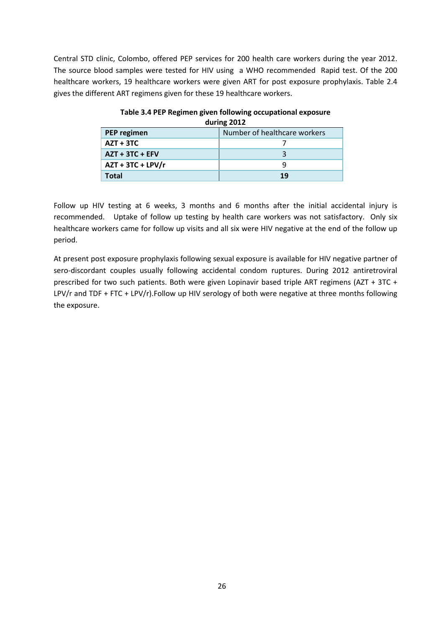Central STD clinic, Colombo, offered PEP services for 200 health care workers during the year 2012. The source blood samples were tested for HIV using a WHO recommended Rapid test. Of the 200 healthcare workers, 19 healthcare workers were given ART for post exposure prophylaxis. Table 2.4 gives the different ART regimens given for these 19 healthcare workers.

| <b>UUIIIIE LUIL</b> |                              |  |  |
|---------------------|------------------------------|--|--|
| PEP regimen         | Number of healthcare workers |  |  |
| $AZT + 3TC$         |                              |  |  |
| $AZT + 3TC + EFV$   |                              |  |  |
| $AZT + 3TC + LPV/r$ |                              |  |  |
| <b>Total</b>        | 19                           |  |  |

#### **Table 3.4 PEP Regimen given following occupational exposure during 2012**

Follow up HIV testing at 6 weeks, 3 months and 6 months after the initial accidental injury is recommended. Uptake of follow up testing by health care workers was not satisfactory. Only six healthcare workers came for follow up visits and all six were HIV negative at the end of the follow up period.

At present post exposure prophylaxis following sexual exposure is available for HIV negative partner of sero-discordant couples usually following accidental condom ruptures. During 2012 antiretroviral prescribed for two such patients. Both were given Lopinavir based triple ART regimens (AZT + 3TC + LPV/r and TDF + FTC + LPV/r).Follow up HIV serology of both were negative at three months following the exposure.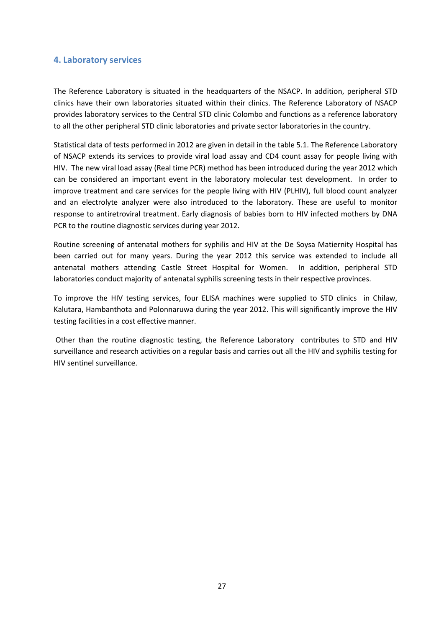### <span id="page-33-0"></span>**4. Laboratory services**

The Reference Laboratory is situated in the headquarters of the NSACP. In addition, peripheral STD clinics have their own laboratories situated within their clinics. The Reference Laboratory of NSACP provides laboratory services to the Central STD clinic Colombo and functions as a reference laboratory to all the other peripheral STD clinic laboratories and private sector laboratories in the country.

Statistical data of tests performed in 2012 are given in detail in the table 5.1. The Reference Laboratory of NSACP extends its services to provide viral load assay and CD4 count assay for people living with HIV. The new viral load assay (Real time PCR) method has been introduced during the year 2012 which can be considered an important event in the laboratory molecular test development. In order to improve treatment and care services for the people living with HIV (PLHIV), full blood count analyzer and an electrolyte analyzer were also introduced to the laboratory. These are useful to monitor response to antiretroviral treatment. Early diagnosis of babies born to HIV infected mothers by DNA PCR to the routine diagnostic services during year 2012.

Routine screening of antenatal mothers for syphilis and HIV at the De Soysa Matiernity Hospital has been carried out for many years. During the year 2012 this service was extended to include all antenatal mothers attending Castle Street Hospital for Women. In addition, peripheral STD laboratories conduct majority of antenatal syphilis screening tests in their respective provinces.

To improve the HIV testing services, four ELISA machines were supplied to STD clinics in Chilaw, Kalutara, Hambanthota and Polonnaruwa during the year 2012. This will significantly improve the HIV testing facilities in a cost effective manner.

Other than the routine diagnostic testing, the Reference Laboratory contributes to STD and HIV surveillance and research activities on a regular basis and carries out all the HIV and syphilis testing for HIV sentinel surveillance.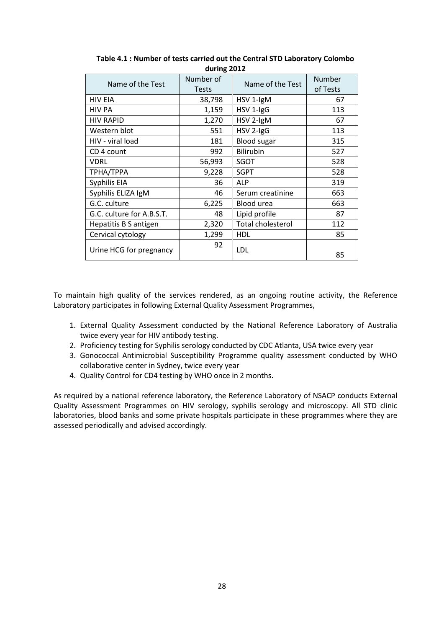| Name of the Test          | Number of<br><b>Tests</b> | Name of the Test         | Number<br>of Tests |
|---------------------------|---------------------------|--------------------------|--------------------|
| <b>HIV EIA</b>            | 38,798                    | HSV 1-IgM                | 67                 |
| <b>HIV PA</b>             | 1,159                     | HSV 1-IgG                | 113                |
| <b>HIV RAPID</b>          | 1,270                     | HSV 2-IgM                | 67                 |
| Western blot              | 551                       | HSV 2-IgG                | 113                |
| HIV - viral load          | 181                       | <b>Blood sugar</b>       | 315                |
| CD 4 count                | 992                       | <b>Bilirubin</b>         | 527                |
| VDRL                      | 56,993                    | SGOT                     | 528                |
| ТРНА/ТРРА                 | 9,228                     | <b>SGPT</b>              | 528                |
| Syphilis EIA              | 36                        | <b>ALP</b>               | 319                |
| Syphilis ELIZA IgM        | 46                        | Serum creatinine         | 663                |
| G.C. culture              | 6,225                     | Blood urea               | 663                |
| G.C. culture for A.B.S.T. | 48                        | Lipid profile            | 87                 |
| Hepatitis B S antigen     | 2,320                     | <b>Total cholesterol</b> | 112                |
| Cervical cytology         | 1,299                     | HDL                      | 85                 |
| Urine HCG for pregnancy   | 92                        | LDL                      | 85                 |

**Table 4.1 : Number of tests carried out the Central STD Laboratory Colombo during 2012**

To maintain high quality of the services rendered, as an ongoing routine activity, the Reference Laboratory participates in following External Quality Assessment Programmes,

- 1. External Quality Assessment conducted by the National Reference Laboratory of Australia twice every year for HIV antibody testing.
- 2. Proficiency testing for Syphilis serology conducted by CDC Atlanta, USA twice every year
- 3. Gonococcal Antimicrobial Susceptibility Programme quality assessment conducted by WHO collaborative center in Sydney, twice every year
- 4. Quality Control for CD4 testing by WHO once in 2 months.

As required by a national reference laboratory, the Reference Laboratory of NSACP conducts External Quality Assessment Programmes on HIV serology, syphilis serology and microscopy. All STD clinic laboratories, blood banks and some private hospitals participate in these programmes where they are assessed periodically and advised accordingly.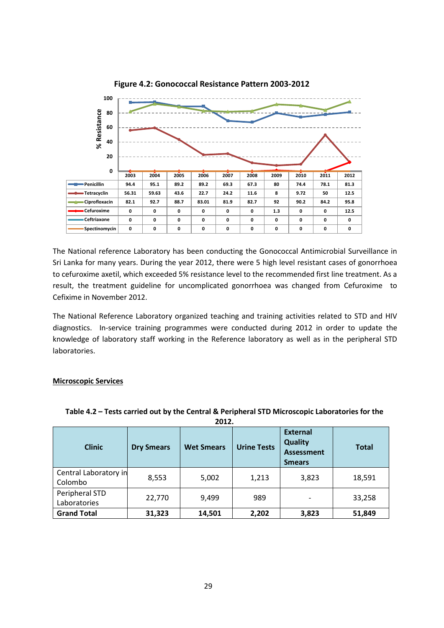

**Figure 4.2: Gonococcal Resistance Pattern 2003-2012**

The National reference Laboratory has been conducting the Gonococcal Antimicrobial Surveillance in Sri Lanka for many years. During the year 2012, there were 5 high level resistant cases of gonorrhoea to cefuroxime axetil, which exceeded 5% resistance level to the recommended first line treatment. As a result, the treatment guideline for uncomplicated gonorrhoea was changed from Cefuroxime to Cefixime in November 2012.

<span id="page-35-0"></span>The National Reference Laboratory organized teaching and training activities related to STD and HIV diagnostics. In-service training programmes were conducted during 2012 in order to update the knowledge of laboratory staff working in the Reference laboratory as well as in the peripheral STD laboratories.

### **Microscopic Services**

|                                  | LU1L.             |                   |                    |                                                                         |              |
|----------------------------------|-------------------|-------------------|--------------------|-------------------------------------------------------------------------|--------------|
| <b>Clinic</b>                    | <b>Dry Smears</b> | <b>Wet Smears</b> | <b>Urine Tests</b> | <b>External</b><br><b>Quality</b><br><b>Assessment</b><br><b>Smears</b> | <b>Total</b> |
| Central Laboratory in<br>Colombo | 8,553             | 5,002             | 1,213              | 3,823                                                                   | 18,591       |
| Peripheral STD<br>Laboratories   | 22,770            | 9,499             | 989                |                                                                         | 33,258       |
| <b>Grand Total</b>               | 31,323            | 14,501            | 2,202              | 3,823                                                                   | 51,849       |

#### **Table 4.2 – Tests carried out by the Central & Peripheral STD Microscopic Laboratories for the 2012.**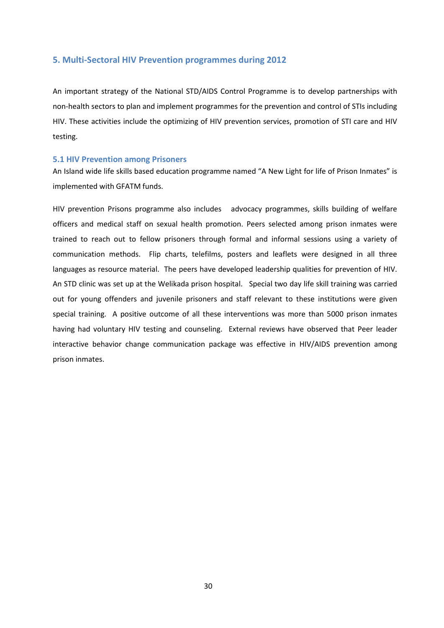### <span id="page-36-0"></span>**5. Multi-Sectoral HIV Prevention programmes during 2012**

<span id="page-36-1"></span>An important strategy of the National STD/AIDS Control Programme is to develop partnerships with non-health sectors to plan and implement programmes for the prevention and control of STIs including HIV. These activities include the optimizing of HIV prevention services, promotion of STI care and HIV testing.

#### **5.1 HIV Prevention among Prisoners**

An Island wide life skills based education programme named "A New Light for life of Prison Inmates" is implemented with GFATM funds.

HIV prevention Prisons programme also includes advocacy programmes, skills building of welfare officers and medical staff on sexual health promotion. Peers selected among prison inmates were trained to reach out to fellow prisoners through formal and informal sessions using a variety of communication methods. Flip charts, telefilms, posters and leaflets were designed in all three languages as resource material. The peers have developed leadership qualities for prevention of HIV. An STD clinic was set up at the Welikada prison hospital. Special two day life skill training was carried out for young offenders and juvenile prisoners and staff relevant to these institutions were given special training. A positive outcome of all these interventions was more than 5000 prison inmates having had voluntary HIV testing and counseling. External reviews have observed that Peer leader interactive behavior change communication package was effective in HIV/AIDS prevention among prison inmates.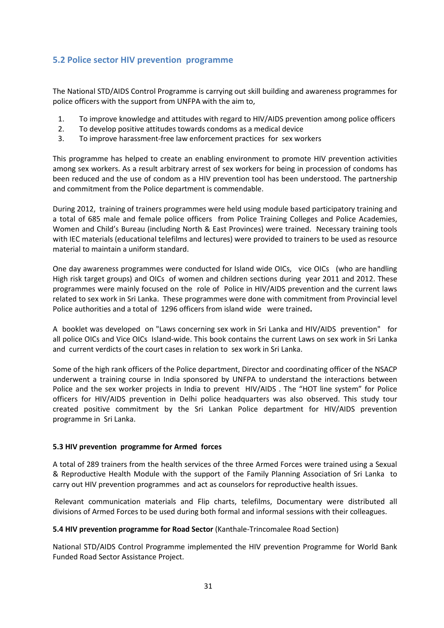### <span id="page-37-0"></span>**5.2 Police sector HIV prevention programme**

The National STD/AIDS Control Programme is carrying out skill building and awareness programmes for police officers with the support from UNFPA with the aim to,

- 1. To improve knowledge and attitudes with regard to HIV/AIDS prevention among police officers
- 2. To develop positive attitudes towards condoms as a medical device
- 3. To improve harassment-free law enforcement practices for sex workers

This programme has helped to create an enabling environment to promote HIV prevention activities among sex workers. As a result arbitrary arrest of sex workers for being in procession of condoms has been reduced and the use of condom as a HIV prevention tool has been understood. The partnership and commitment from the Police department is commendable.

During 2012, training of trainers programmes were held using module based participatory training and a total of 685 male and female police officers from Police Training Colleges and Police Academies, Women and Child's Bureau (including North & East Provinces) were trained. Necessary training tools with IEC materials (educational telefilms and lectures) were provided to trainers to be used as resource material to maintain a uniform standard.

One day awareness programmes were conducted for Island wide OICs, vice OICs (who are handling High risk target groups) and OICs of women and children sections during year 2011 and 2012. These programmes were mainly focused on the role of Police in HIV/AIDS prevention and the current laws related to sex work in Sri Lanka. These programmes were done with commitment from Provincial level Police authorities and a total of 1296 officers from island wide were trained**.**

A booklet was developed on "Laws concerning sex work in Sri Lanka and HIV/AIDS prevention" for all police OICs and Vice OICs Island-wide. This book contains the current Laws on sex work in Sri Lanka and current verdicts of the court cases in relation to sex work in Sri Lanka.

Some of the high rank officers of the Police department, Director and coordinating officer of the NSACP underwent a training course in India sponsored by UNFPA to understand the interactions between Police and the sex worker projects in India to prevent HIV/AIDS . The "HOT line system" for Police officers for HIV/AIDS prevention in Delhi police headquarters was also observed. This study tour created positive commitment by the Sri Lankan Police department for HIV/AIDS prevention programme in Sri Lanka.

### **5.3 HIV prevention programme for Armed forces**

A total of 289 trainers from the health services of the three Armed Forces were trained using a Sexual & Reproductive Health Module with the support of the Family Planning Association of Sri Lanka to carry out HIV prevention programmes and act as counselors for reproductive health issues.

Relevant communication materials and Flip charts, telefilms, Documentary were distributed all divisions of Armed Forces to be used during both formal and informal sessions with their colleagues.

### **5.4 HIV prevention programme for Road Sector** (Kanthale-Trincomalee Road Section)

National STD/AIDS Control Programme implemented the HIV prevention Programme for World Bank Funded Road Sector Assistance Project.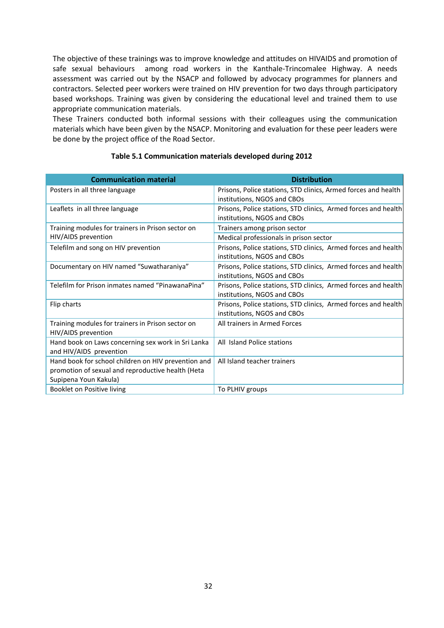The objective of these trainings was to improve knowledge and attitudes on HIVAIDS and promotion of safe sexual behaviours among road workers in the Kanthale-Trincomalee Highway. A needs assessment was carried out by the NSACP and followed by advocacy programmes for planners and contractors. Selected peer workers were trained on HIV prevention for two days through participatory based workshops. Training was given by considering the educational level and trained them to use appropriate communication materials.

These Trainers conducted both informal sessions with their colleagues using the communication materials which have been given by the NSACP. Monitoring and evaluation for these peer leaders were be done by the project office of the Road Sector.

| <b>Communication material</b>                                                                                                     | <b>Distribution</b>                                                                           |
|-----------------------------------------------------------------------------------------------------------------------------------|-----------------------------------------------------------------------------------------------|
| Posters in all three language                                                                                                     | Prisons, Police stations, STD clinics, Armed forces and health<br>institutions, NGOS and CBOs |
| Leaflets in all three language                                                                                                    | Prisons, Police stations, STD clinics, Armed forces and health<br>institutions, NGOS and CBOs |
| Training modules for trainers in Prison sector on                                                                                 | Trainers among prison sector                                                                  |
| HIV/AIDS prevention                                                                                                               | Medical professionals in prison sector                                                        |
| Telefilm and song on HIV prevention                                                                                               | Prisons, Police stations, STD clinics, Armed forces and health<br>institutions, NGOS and CBOs |
| Documentary on HIV named "Suwatharaniya"                                                                                          | Prisons, Police stations, STD clinics, Armed forces and health<br>institutions, NGOS and CBOs |
| Telefilm for Prison inmates named "PinawanaPina"                                                                                  | Prisons, Police stations, STD clinics, Armed forces and health<br>institutions, NGOS and CBOs |
| Flip charts                                                                                                                       | Prisons, Police stations, STD clinics, Armed forces and health<br>institutions, NGOS and CBOs |
| Training modules for trainers in Prison sector on<br>HIV/AIDS prevention                                                          | All trainers in Armed Forces                                                                  |
| Hand book on Laws concerning sex work in Sri Lanka<br>and HIV/AIDS prevention                                                     | All Island Police stations                                                                    |
| Hand book for school children on HIV prevention and<br>promotion of sexual and reproductive health (Heta<br>Supipena Youn Kakula) | All Island teacher trainers                                                                   |
| Booklet on Positive living                                                                                                        | To PLHIV groups                                                                               |

### **Table 5.1 Communication materials developed during 2012**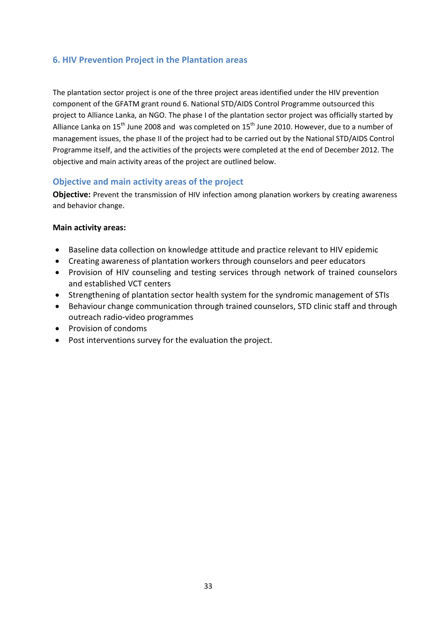### <span id="page-39-0"></span>**6. HIV Prevention Project in the Plantation areas**

The plantation sector project is one of the three project areas identified under the HIV prevention component of the GFATM grant round 6. National STD/AIDS Control Programme outsourced this project to Alliance Lanka, an NGO. The phase I of the plantation sector project was officially started by Alliance Lanka on  $15<sup>th</sup>$  June 2008 and was completed on  $15<sup>th</sup>$  June 2010. However, due to a number of management issues, the phase II of the project had to be carried out by the National STD/AIDS Control Programme itself, and the activities of the projects were completed at the end of December 2012. The objective and main activity areas of the project are outlined below.

### <span id="page-39-1"></span>**Objective and main activity areas of the project**

**Objective:** Prevent the transmission of HIV infection among planation workers by creating awareness and behavior change.

### **Main activity areas:**

- Baseline data collection on knowledge attitude and practice relevant to HIV epidemic
- Creating awareness of plantation workers through counselors and peer educators
- Provision of HIV counseling and testing services through network of trained counselors and established VCT centers
- Strengthening of plantation sector health system for the syndromic management of STIs
- Behaviour change communication through trained counselors, STD clinic staff and through outreach radio-video programmes
- Provision of condoms
- Post interventions survey for the evaluation the project.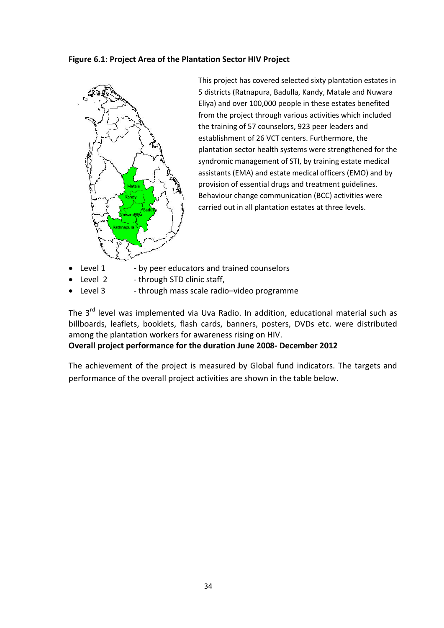### **Figure 6.1: Project Area of the Plantation Sector HIV Project**



This project has covered selected sixty plantation estates in 5 districts (Ratnapura, Badulla, Kandy, Matale and Nuwara Eliya) and over 100,000 people in these estates benefited from the project through various activities which included the training of 57 counselors, 923 peer leaders and establishment of 26 VCT centers. Furthermore, the plantation sector health systems were strengthened for the syndromic management of STI, by training estate medical assistants (EMA) and estate medical officers (EMO) and by provision of essential drugs and treatment guidelines. Behaviour change communication (BCC) activities were carried out in all plantation estates at three levels.

- Level 1 by peer educators and trained counselors
- Level 2 through STD clinic staff,
- Level 3 through mass scale radio-video programme

The 3<sup>rd</sup> level was implemented via Uva Radio. In addition, educational material such as billboards, leaflets, booklets, flash cards, banners, posters, DVDs etc. were distributed among the plantation workers for awareness rising on HIV.

### **Overall project performance for the duration June 2008- December 2012**

The achievement of the project is measured by Global fund indicators. The targets and performance of the overall project activities are shown in the table below.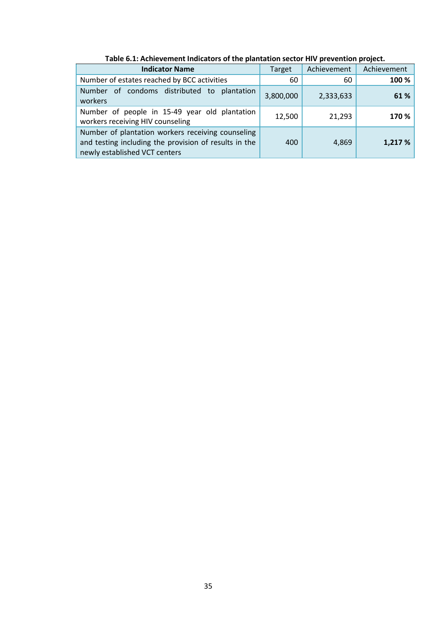| <b>Indicator Name</b>                                                                                                                       | Target    | Achievement | Achievement |
|---------------------------------------------------------------------------------------------------------------------------------------------|-----------|-------------|-------------|
| Number of estates reached by BCC activities                                                                                                 | 60        | 60          | 100 %       |
| of condoms distributed to plantation<br>Number<br>workers                                                                                   | 3,800,000 | 2,333,633   | 61 %        |
| Number of people in 15-49 year old plantation<br>workers receiving HIV counseling                                                           | 12,500    | 21,293      | 170 %       |
| Number of plantation workers receiving counseling<br>and testing including the provision of results in the<br>newly established VCT centers | 400       | 4,869       | 1,217%      |

**Table 6.1: Achievement Indicators of the plantation sector HIV prevention project.**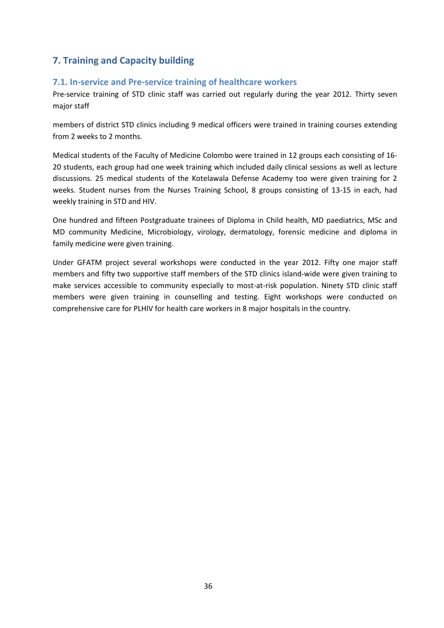### <span id="page-42-1"></span><span id="page-42-0"></span>**7. Training and Capacity building**

### **7.1. In-service and Pre-service training of healthcare workers**

Pre-service training of STD clinic staff was carried out regularly during the year 2012. Thirty seven major staff

members of district STD clinics including 9 medical officers were trained in training courses extending from 2 weeks to 2 months.

Medical students of the Faculty of Medicine Colombo were trained in 12 groups each consisting of 16- 20 students, each group had one week training which included daily clinical sessions as well as lecture discussions. 25 medical students of the Kotelawala Defense Academy too were given training for 2 weeks. Student nurses from the Nurses Training School, 8 groups consisting of 13-15 in each, had weekly training in STD and HIV.

One hundred and fifteen Postgraduate trainees of Diploma in Child health, MD paediatrics, MSc and MD community Medicine, Microbiology, virology, dermatology, forensic medicine and diploma in family medicine were given training.

Under GFATM project several workshops were conducted in the year 2012. Fifty one major staff members and fifty two supportive staff members of the STD clinics island-wide were given training to make services accessible to community especially to most-at-risk population. Ninety STD clinic staff members were given training in counselling and testing. Eight workshops were conducted on comprehensive care for PLHIV for health care workers in 8 major hospitals in the country.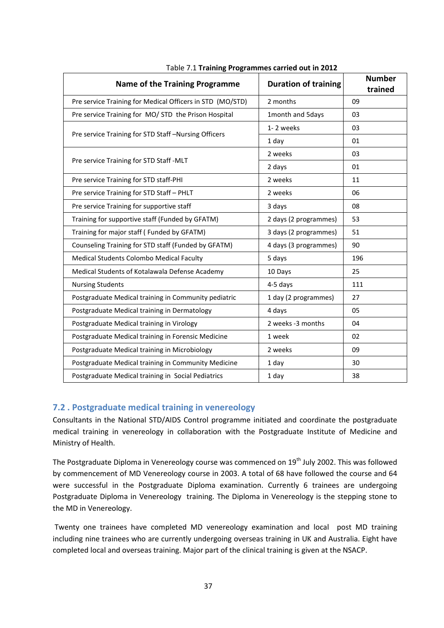| <b>Name of the Training Programme</b>                     | <b>Duration of training</b> | <b>Number</b><br>trained |
|-----------------------------------------------------------|-----------------------------|--------------------------|
| Pre service Training for Medical Officers in STD (MO/STD) | 2 months                    | 09                       |
| Pre service Training for MO/STD the Prison Hospital       | 1month and 5days            | 03                       |
|                                                           | 1-2 weeks                   | 03                       |
| Pre service Training for STD Staff-Nursing Officers       | 1 day                       | 01                       |
| Pre service Training for STD Staff -MLT                   | 2 weeks                     | 03                       |
|                                                           | 2 days                      | 01                       |
| Pre service Training for STD staff-PHI                    | 2 weeks                     | 11                       |
| Pre service Training for STD Staff - PHLT                 | 2 weeks                     | 06                       |
| Pre service Training for supportive staff                 | 3 days                      | 08                       |
| Training for supportive staff (Funded by GFATM)           | 2 days (2 programmes)       | 53                       |
| Training for major staff (Funded by GFATM)                | 3 days (2 programmes)       | 51                       |
| Counseling Training for STD staff (Funded by GFATM)       | 4 days (3 programmes)       | 90                       |
| Medical Students Colombo Medical Faculty                  | 5 days                      | 196                      |
| Medical Students of Kotalawala Defense Academy            | 10 Days                     | 25                       |
| <b>Nursing Students</b>                                   | 4-5 days                    | 111                      |
| Postgraduate Medical training in Community pediatric      | 1 day (2 programmes)        | 27                       |
| Postgraduate Medical training in Dermatology              | 4 days                      | 05                       |
| Postgraduate Medical training in Virology                 | 2 weeks -3 months           | 04                       |
| Postgraduate Medical training in Forensic Medicine        | 1 week                      | 02                       |
| Postgraduate Medical training in Microbiology             | 2 weeks                     | 09                       |
| Postgraduate Medical training in Community Medicine       | 1 day                       | 30                       |
| Postgraduate Medical training in Social Pediatrics        | 1 day                       | 38                       |

### Table 7.1 **Training Programmes carried out in 2012**

### <span id="page-43-0"></span>**7.2 . Postgraduate medical training in venereology**

Consultants in the National STD/AIDS Control programme initiated and coordinate the postgraduate medical training in venereology in collaboration with the Postgraduate Institute of Medicine and Ministry of Health.

The Postgraduate Diploma in Venereology course was commenced on 19<sup>th</sup> July 2002. This was followed by commencement of MD Venereology course in 2003. A total of 68 have followed the course and 64 were successful in the Postgraduate Diploma examination. Currently 6 trainees are undergoing Postgraduate Diploma in Venereology training. The Diploma in Venereology is the stepping stone to the MD in Venereology.

Twenty one trainees have completed MD venereology examination and local post MD training including nine trainees who are currently undergoing overseas training in UK and Australia. Eight have completed local and overseas training. Major part of the clinical training is given at the NSACP.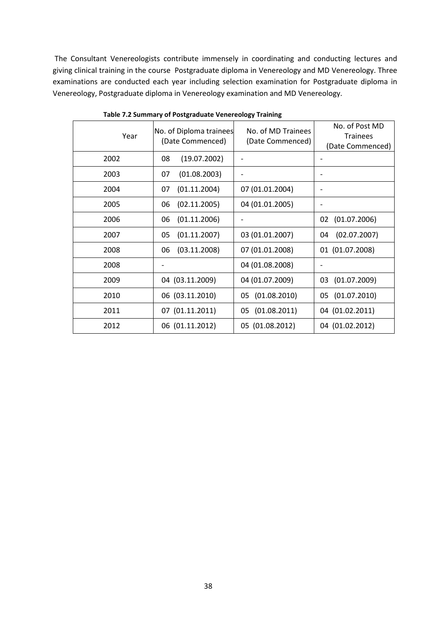The Consultant Venereologists contribute immensely in coordinating and conducting lectures and giving clinical training in the course Postgraduate diploma in Venereology and MD Venereology. Three examinations are conducted each year including selection examination for Postgraduate diploma in Venereology, Postgraduate diploma in Venereology examination and MD Venereology.

| Year | No. of Diploma trainees<br>(Date Commenced) | No. of MD Trainees<br>(Date Commenced) | No. of Post MD<br><b>Trainees</b><br>(Date Commenced) |
|------|---------------------------------------------|----------------------------------------|-------------------------------------------------------|
| 2002 | (19.07.2002)<br>08                          |                                        |                                                       |
| 2003 | (01.08.2003)<br>07                          |                                        |                                                       |
| 2004 | (01.11.2004)<br>07                          | 07 (01.01.2004)                        |                                                       |
| 2005 | (02.11.2005)<br>06                          | 04 (01.01.2005)                        |                                                       |
| 2006 | (01.11.2006)<br>06                          |                                        | (01.07.2006)<br>02                                    |
| 2007 | (01.11.2007)<br>05                          | 03 (01.01.2007)                        | (02.07.2007)<br>04                                    |
| 2008 | (03.11.2008)<br>06                          | 07 (01.01.2008)                        | 01 (01.07.2008)                                       |
| 2008 |                                             | 04 (01.08.2008)                        |                                                       |
| 2009 | 04 (03.11.2009)                             | 04 (01.07.2009)                        | (01.07.2009)<br>03                                    |
| 2010 | 06 (03.11.2010)                             | 05 (01.08.2010)                        | (01.07.2010)<br>05                                    |
| 2011 | 07 (01.11.2011)                             | (01.08.2011)<br>05                     | 04 (01.02.2011)                                       |
| 2012 | 06 (01.11.2012)                             | 05 (01.08.2012)                        | 04 (01.02.2012)                                       |

**Table 7.2 Summary of Postgraduate Venereology Training**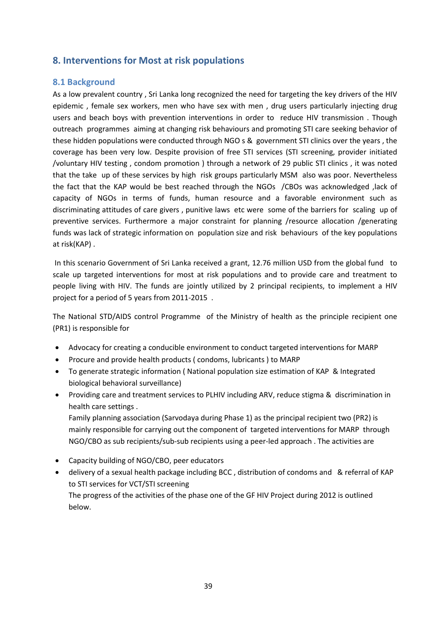### <span id="page-45-1"></span><span id="page-45-0"></span>**8. Interventions for Most at risk populations**

### **8.1 Background**

As a low prevalent country , Sri Lanka long recognized the need for targeting the key drivers of the HIV epidemic , female sex workers, men who have sex with men , drug users particularly injecting drug users and beach boys with prevention interventions in order to reduce HIV transmission . Though outreach programmes aiming at changing risk behaviours and promoting STI care seeking behavior of these hidden populations were conducted through NGO s & government STI clinics over the years , the coverage has been very low. Despite provision of free STI services (STI screening, provider initiated /voluntary HIV testing , condom promotion ) through a network of 29 public STI clinics , it was noted that the take up of these services by high risk groups particularly MSM also was poor. Nevertheless the fact that the KAP would be best reached through the NGOs /CBOs was acknowledged ,lack of capacity of NGOs in terms of funds, human resource and a favorable environment such as discriminating attitudes of care givers , punitive laws etc were some of the barriers for scaling up of preventive services. Furthermore a major constraint for planning /resource allocation /generating funds was lack of strategic information on population size and risk behaviours of the key populations at risk(KAP) .

In this scenario Government of Sri Lanka received a grant, 12.76 million USD from the global fund to scale up targeted interventions for most at risk populations and to provide care and treatment to people living with HIV. The funds are jointly utilized by 2 principal recipients, to implement a HIV project for a period of 5 years from 2011-2015 .

The National STD/AIDS control Programme of the Ministry of health as the principle recipient one (PR1) is responsible for

- Advocacy for creating a conducible environment to conduct targeted interventions for MARP
- Procure and provide health products ( condoms, lubricants ) to MARP
- To generate strategic information ( National population size estimation of KAP & Integrated biological behavioral surveillance)
- Providing care and treatment services to PLHIV including ARV, reduce stigma & discrimination in health care settings .

Family planning association (Sarvodaya during Phase 1) as the principal recipient two (PR2) is mainly responsible for carrying out the component of targeted interventions for MARP through NGO/CBO as sub recipients/sub-sub recipients using a peer-led approach . The activities are

- Capacity building of NGO/CBO, peer educators
- delivery of a sexual health package including BCC , distribution of condoms and & referral of KAP to STI services for VCT/STI screening The progress of the activities of the phase one of the GF HIV Project during 2012 is outlined below.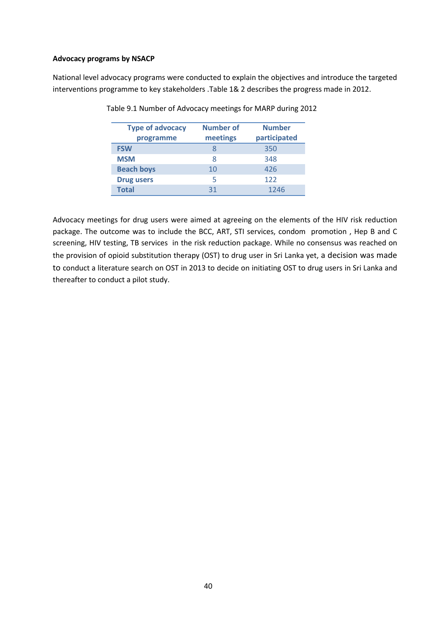#### **Advocacy programs by NSACP**

National level advocacy programs were conducted to explain the objectives and introduce the targeted interventions programme to key stakeholders .Table 1& 2 describes the progress made in 2012.

| <b>Type of advocacy</b><br>programme | <b>Number of</b><br>meetings | <b>Number</b><br>participated |
|--------------------------------------|------------------------------|-------------------------------|
| <b>FSW</b>                           |                              | 350                           |
| <b>MSM</b>                           | 8                            | 348                           |
| <b>Beach boys</b>                    | 10                           | 426                           |
| <b>Drug users</b>                    | 5                            | 122                           |
| <b>Total</b>                         | 31                           | 1246                          |

Table 9.1 Number of Advocacy meetings for MARP during 2012

Advocacy meetings for drug users were aimed at agreeing on the elements of the HIV risk reduction package. The outcome was to include the BCC, ART, STI services, condom promotion , Hep B and C screening, HIV testing, TB services in the risk reduction package. While no consensus was reached on the provision of opioid substitution therapy (OST) to drug user in Sri Lanka yet, a decision was made to conduct a literature search on OST in 2013 to decide on initiating OST to drug users in Sri Lanka and thereafter to conduct a pilot study.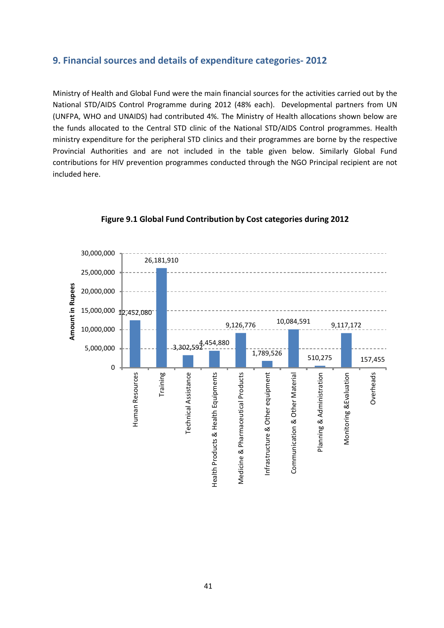### <span id="page-47-0"></span>**9. Financial sources and details of expenditure categories- 2012**

Ministry of Health and Global Fund were the main financial sources for the activities carried out by the National STD/AIDS Control Programme during 2012 (48% each). Developmental partners from UN (UNFPA, WHO and UNAIDS) had contributed 4%. The Ministry of Health allocations shown below are the funds allocated to the Central STD clinic of the National STD/AIDS Control programmes. Health ministry expenditure for the peripheral STD clinics and their programmes are borne by the respective Provincial Authorities and are not included in the table given below. Similarly Global Fund contributions for HIV prevention programmes conducted through the NGO Principal recipient are not included here.



**Figure 9.1 Global Fund Contribution by Cost categories during 2012**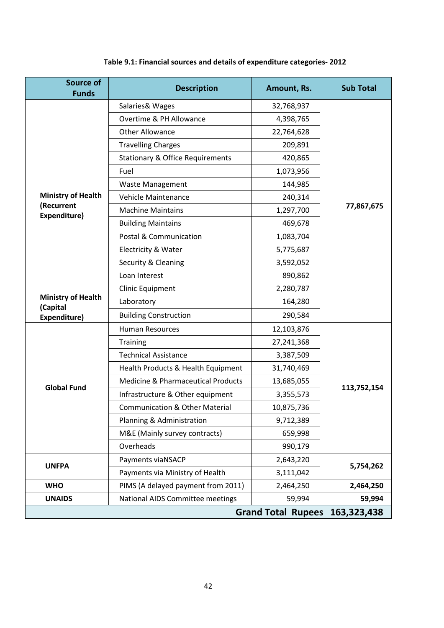| <b>Source of</b><br><b>Funds</b>      | <b>Description</b>                            | Amount, Rs.                    | <b>Sub Total</b> |
|---------------------------------------|-----------------------------------------------|--------------------------------|------------------|
|                                       | Salaries& Wages                               | 32,768,937                     |                  |
|                                       | Overtime & PH Allowance                       | 4,398,765                      |                  |
|                                       | <b>Other Allowance</b>                        | 22,764,628                     |                  |
|                                       | <b>Travelling Charges</b>                     | 209,891                        |                  |
|                                       | <b>Stationary &amp; Office Requirements</b>   | 420,865                        |                  |
|                                       | Fuel                                          | 1,073,956                      |                  |
|                                       | <b>Waste Management</b>                       | 144,985                        |                  |
| <b>Ministry of Health</b>             | Vehicle Maintenance                           | 240,314                        |                  |
| (Recurrent<br>Expenditure)            | <b>Machine Maintains</b>                      | 1,297,700                      | 77,867,675       |
|                                       | <b>Building Maintains</b>                     | 469,678                        |                  |
|                                       | Postal & Communication                        | 1,083,704                      |                  |
|                                       | Electricity & Water                           | 5,775,687                      |                  |
|                                       | Security & Cleaning                           | 3,592,052                      |                  |
|                                       | Loan Interest                                 | 890,862                        |                  |
|                                       | Clinic Equipment                              | 2,280,787                      |                  |
| <b>Ministry of Health</b><br>(Capital | Laboratory                                    | 164,280                        |                  |
| Expenditure)                          | <b>Building Construction</b>                  | 290,584                        |                  |
|                                       | <b>Human Resources</b>                        | 12,103,876                     |                  |
|                                       | <b>Training</b>                               | 27,241,368                     |                  |
|                                       | <b>Technical Assistance</b>                   | 3,387,509                      |                  |
|                                       | Health Products & Health Equipment            | 31,740,469                     |                  |
|                                       | <b>Medicine &amp; Pharmaceutical Products</b> | 13,685,055                     |                  |
| <b>Global Fund</b>                    | Infrastructure & Other equipment              | 3,355,573                      | 113,752,154      |
|                                       | <b>Communication &amp; Other Material</b>     | 10,875,736                     |                  |
|                                       | Planning & Administration                     | 9,712,389                      |                  |
|                                       | M&E (Mainly survey contracts)                 | 659,998                        |                  |
|                                       | Overheads                                     | 990,179                        |                  |
|                                       | Payments viaNSACP                             | 2,643,220                      |                  |
| <b>UNFPA</b>                          | Payments via Ministry of Health               | 3,111,042                      | 5,754,262        |
| <b>WHO</b>                            | PIMS (A delayed payment from 2011)            | 2,464,250                      | 2,464,250        |
| <b>UNAIDS</b>                         | National AIDS Committee meetings              | 59,994                         | 59,994           |
|                                       |                                               | Grand Total Rupees 163,323,438 |                  |

### **Table 9.1: Financial sources and details of expenditure categories- 2012**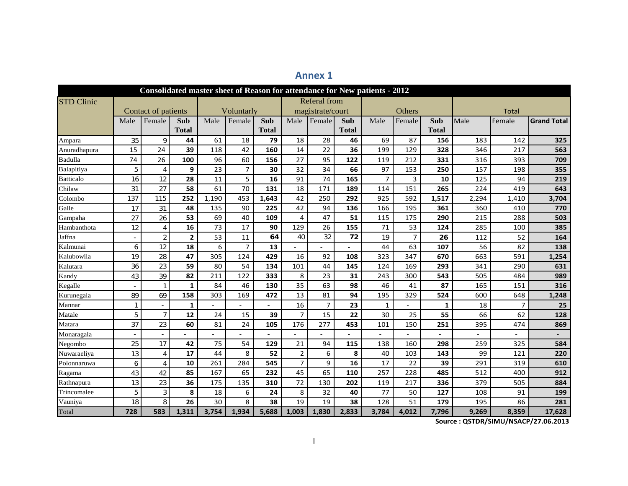<span id="page-49-0"></span>

|                   |                          |                     |                |       |                |              |                  |                     |              | Consolidated master sheet of Reason for attendance for New patients - 2012 |                |              |              |        |                    |
|-------------------|--------------------------|---------------------|----------------|-------|----------------|--------------|------------------|---------------------|--------------|----------------------------------------------------------------------------|----------------|--------------|--------------|--------|--------------------|
| <b>STD Clinic</b> |                          |                     |                |       |                |              |                  | <b>Referal</b> from |              |                                                                            |                |              |              |        |                    |
|                   |                          | Contact of patients |                |       | Voluntarly     |              | magistrate/court |                     |              | Others                                                                     |                |              | <b>Total</b> |        |                    |
|                   | Male                     | Female              | <b>Sub</b>     | Male  | Female         | <b>Sub</b>   | Male             | Female              | <b>Sub</b>   | Male                                                                       | Female         | <b>Sub</b>   | Male         | Female | <b>Grand Total</b> |
|                   |                          |                     | <b>Total</b>   |       |                | <b>Total</b> |                  |                     | <b>Total</b> |                                                                            |                | <b>Total</b> |              |        |                    |
| Ampara            | 35                       | 9                   | 44             | 61    | 18             | 79           | 18               | 28                  | 46           | 69                                                                         | 87             | 156          | 183          | 142    | 325                |
| Anuradhapura      | 15                       | 24                  | 39             | 118   | 42             | 160          | 14               | 22                  | 36           | 199                                                                        | 129            | 328          | 346          | 217    | 563                |
| Badulla           | 74                       | 26                  | 100            | 96    | 60             | 156          | 27               | 95                  | 122          | 119                                                                        | 212            | 331          | 316          | 393    | 709                |
| Balapitiya        | 5                        | 4                   | 9              | 23    | $\overline{7}$ | 30           | 32               | 34                  | 66           | 97                                                                         | 153            | 250          | 157          | 198    | 355                |
| <b>Batticalo</b>  | 16                       | 12                  | 28             | 11    | 5              | 16           | 91               | 74                  | 165          | 7                                                                          | 3              | 10           | 125          | 94     | 219                |
| Chilaw            | 31                       | 27                  | 58             | 61    | 70             | 131          | 18               | 171                 | 189          | 114                                                                        | 151            | 265          | 224          | 419    | 643                |
| Colombo           | 137                      | 115                 | 252            | 1,190 | 453            | 1,643        | 42               | 250                 | 292          | 925                                                                        | 592            | 1,517        | 2,294        | 1,410  | 3,704              |
| Galle             | 17                       | 31                  | 48             | 135   | 90             | 225          | 42               | 94                  | 136          | 166                                                                        | 195            | 361          | 360          | 410    | 770                |
| Gampaha           | 27                       | 26                  | 53             | 69    | 40             | 109          | 4                | 47                  | 51           | 115                                                                        | 175            | 290          | 215          | 288    | 503                |
| Hambanthota       | 12                       | $\overline{4}$      | 16             | 73    | 17             | 90           | 129              | 26                  | 155          | 71                                                                         | 53             | 124          | 285          | 100    | 385                |
| Jaffna            |                          | $\overline{2}$      | $\overline{2}$ | 53    | 11             | 64           | 40               | 32                  | 72           | 19                                                                         | $\overline{7}$ | 26           | 112          | 52     | 164                |
| Kalmunai          | 6                        | 12                  | 18             | 6     | $\overline{7}$ | 13           |                  |                     |              | 44                                                                         | 63             | 107          | 56           | 82     | 138                |
| Kalubowila        | 19                       | 28                  | 47             | 305   | 124            | 429          | 16               | 92                  | 108          | 323                                                                        | 347            | 670          | 663          | 591    | 1,254              |
| Kalutara          | 36                       | 23                  | 59             | 80    | 54             | 134          | 101              | 44                  | 145          | 124                                                                        | 169            | 293          | 341          | 290    | 631                |
| Kandy             | 43                       | 39                  | 82             | 211   | 122            | 333          | 8                | 23                  | 31           | 243                                                                        | 300            | 543          | 505          | 484    | 989                |
| Kegalle           | $\overline{a}$           | $\mathbf{1}$        | $\mathbf{1}$   | 84    | 46             | 130          | 35               | 63                  | 98           | 46                                                                         | 41             | 87           | 165          | 151    | 316                |
| Kurunegala        | 89                       | 69                  | 158            | 303   | 169            | 472          | 13               | 81                  | 94           | 195                                                                        | 329            | 524          | 600          | 648    | 1,248              |
| Mannar            | 1                        |                     | $\mathbf{1}$   |       |                |              | 16               | $\overline{7}$      | 23           | 1                                                                          |                | 1            | 18           | 7      | 25                 |
| Matale            | 5                        | $\overline{7}$      | 12             | 24    | 15             | 39           | 7                | 15                  | 22           | 30                                                                         | 25             | 55           | 66           | 62     | 128                |
| Matara            | 37                       | 23                  | 60             | 81    | 24             | 105          | 176              | 277                 | 453          | 101                                                                        | 150            | 251          | 395          | 474    | 869                |
| Monaragala        | $\overline{\phantom{a}}$ |                     |                |       |                |              |                  | ٠                   |              |                                                                            |                |              |              |        |                    |
| Negombo           | 25                       | 17                  | 42             | 75    | 54             | 129          | 21               | 94                  | 115          | 138                                                                        | 160            | 298          | 259          | 325    | 584                |
| Nuwaraeliya       | 13                       | 4                   | 17             | 44    | 8              | 52           | $\overline{2}$   | 6                   | 8            | 40                                                                         | 103            | 143          | 99           | 121    | 220                |
| Polonnaruwa       | 6                        | 4                   | 10             | 261   | 284            | 545          | $\overline{7}$   | 9                   | 16           | 17                                                                         | 22             | 39           | 291          | 319    | 610                |
| Ragama            | 43                       | 42                  | 85             | 167   | 65             | 232          | 45               | 65                  | 110          | 257                                                                        | 228            | 485          | 512          | 400    | 912                |
| Rathnapura        | 13                       | 23                  | 36             | 175   | 135            | 310          | 72               | 130                 | 202          | 119                                                                        | 217            | 336          | 379          | 505    | 884                |
| Trincomalee       | 5                        | 3                   | 8              | 18    | 6              | 24           | 8                | 32                  | 40           | 77                                                                         | 50             | 127          | 108          | 91     | 199                |
| Vauniya           | 18                       | 8                   | 26             | 30    | 8              | 38           | 19               | 19                  | 38           | 128                                                                        | 51             | 179          | 195          | 86     | 281                |
| Total             | 728                      | 583                 | 1,311          | 3,754 | 1,934          | 5,688        | 1,003            | 1,830               | 2,833        | 3,784                                                                      | 4,012          | 7,796        | 9,269        | 8,359  | 17,628             |

### **Annex 1**

**Source : QSTDR/SIMU/NSACP/27.06.2013**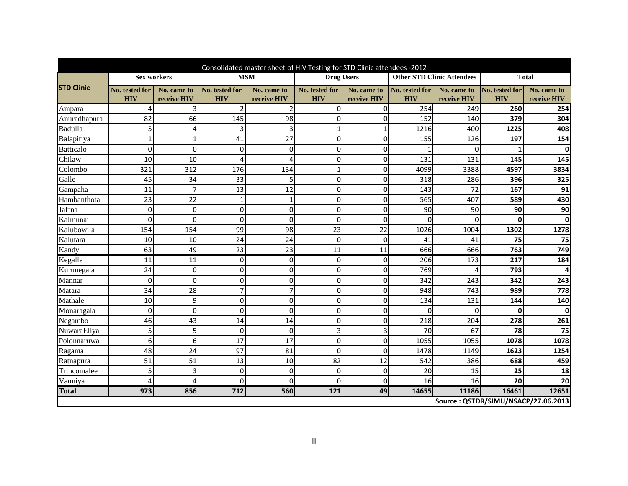|                   | Consolidated master sheet of HIV Testing for STD Clinic attendees -2012 |                            |                              |                            |                              |                            |                              |                                   |                              |                                     |  |  |  |
|-------------------|-------------------------------------------------------------------------|----------------------------|------------------------------|----------------------------|------------------------------|----------------------------|------------------------------|-----------------------------------|------------------------------|-------------------------------------|--|--|--|
|                   |                                                                         | <b>Sex workers</b>         |                              | <b>MSM</b>                 | <b>Drug Users</b>            |                            |                              | <b>Other STD Clinic Attendees</b> |                              | <b>Total</b>                        |  |  |  |
| <b>STD Clinic</b> | No. tested for<br><b>HIV</b>                                            | No. came to<br>receive HIV | No. tested for<br><b>HIV</b> | No. came to<br>receive HIV | No. tested for<br><b>HIV</b> | No. came to<br>receive HIV | No. tested for<br><b>HIV</b> | No. came to<br>receive HIV        | No. tested for<br><b>HIV</b> | No. came to<br>receive HIV          |  |  |  |
| Ampara            | 4                                                                       | 3                          | $\overline{2}$               | $\overline{2}$             | $\Omega$                     | $\overline{0}$             | 254                          | 249                               | 260                          | 254                                 |  |  |  |
| Anuradhapura      | 82                                                                      | 66                         | 145                          | 98                         | $\Omega$                     | $\Omega$                   | 152                          | 140                               | 379                          | 304                                 |  |  |  |
| Badulla           | 5                                                                       | 4                          | 3                            | 3                          | 1                            | $\mathbf 1$                | 1216                         | 400                               | 1225                         | 408                                 |  |  |  |
| Balapitiya        | $\mathbf{1}$                                                            | 1                          | 41                           | 27                         | $\Omega$                     | $\Omega$                   | 155                          | 126                               | 197                          | 154                                 |  |  |  |
| <b>Batticalo</b>  | $\mathbf 0$                                                             | $\Omega$                   | $\Omega$                     | $\Omega$                   | $\Omega$                     | $\Omega$                   |                              | $\Omega$                          |                              | $\mathbf 0$                         |  |  |  |
| Chilaw            | 10                                                                      | 10                         |                              | 4                          | $\Omega$                     | $\mathbf 0$                | 131                          | 131                               | 145                          | 145                                 |  |  |  |
| Colombo           | 321                                                                     | 312                        | 176                          | 134                        |                              | $\Omega$                   | 4099                         | 3388                              | 4597                         | 3834                                |  |  |  |
| Galle             | 45                                                                      | 34                         | 33                           | 5                          | $\Omega$                     | $\overline{0}$             | 318                          | 286                               | 396                          | 325                                 |  |  |  |
| Gampaha           | 11                                                                      | 7                          | 13                           | 12                         | $\Omega$                     | $\Omega$                   | 143                          | 72                                | 167                          | 91                                  |  |  |  |
| Hambanthota       | 23                                                                      | 22                         | 1                            | 1                          | $\Omega$                     | $\Omega$                   | 565                          | 407                               | 589                          | 430                                 |  |  |  |
| Jaffna            | $\Omega$                                                                | $\Omega$                   | $\Omega$                     | 0                          | $\Omega$                     | $\Omega$                   | 90                           | 90                                | 90                           | 90                                  |  |  |  |
| Kalmunai          | $\Omega$                                                                | $\Omega$                   | $\Omega$                     | $\Omega$                   | $\Omega$                     | $\Omega$                   | $\Omega$                     | 0                                 | O                            | $\Omega$                            |  |  |  |
| Kalubowila        | 154                                                                     | 154                        | 99                           | 98                         | 23                           | 22                         | 1026                         | 1004                              | 1302                         | 1278                                |  |  |  |
| Kalutara          | 10                                                                      | 10                         | 24                           | 24                         | $\Omega$                     | $\mathbf 0$                | 41                           | 41                                | 75                           | 75                                  |  |  |  |
| Kandy             | 63                                                                      | 49                         | 23                           | 23                         | 11                           | 11                         | 666                          | 666                               | 763                          | 749                                 |  |  |  |
| Kegalle           | 11                                                                      | 11                         | $\Omega$                     | $\Omega$                   | 0                            | $\Omega$                   | 206                          | 173                               | 217                          | 184                                 |  |  |  |
| Kurunegala        | 24                                                                      | 0                          | $\Omega$                     | $\Omega$                   | $\Omega$                     | $\Omega$                   | 769                          |                                   | 793                          |                                     |  |  |  |
| Mannar            | $\mathbf 0$                                                             | $\Omega$                   | $\Omega$                     | 0                          | $\Omega$                     | $\overline{0}$             | 342                          | 243                               | 342                          | 243                                 |  |  |  |
| Matara            | 34                                                                      | 28                         | $\overline{7}$               | 7                          | $\Omega$                     | $\Omega$                   | 948                          | 743                               | 989                          | 778                                 |  |  |  |
| Mathale           | 10                                                                      | $\overline{9}$             | $\Omega$                     | 0                          | $\Omega$                     | $\Omega$                   | 134                          | 131                               | 144                          | 140                                 |  |  |  |
| Monaragala        | $\mathbf 0$                                                             | $\Omega$                   | $\Omega$                     | 0                          | $\Omega$                     | $\Omega$                   | $\Omega$                     | $\Omega$                          | $\Omega$                     | $\Omega$                            |  |  |  |
| Negambo           | 46                                                                      | 43                         | 14                           | 14                         | $\Omega$                     | $\Omega$                   | 218                          | 204                               | 278                          | 261                                 |  |  |  |
| NuwaraEliya       | 5                                                                       | 5                          | $\Omega$                     | $\Omega$                   | 3                            | 3                          | 70                           | 67                                | 78                           | 75                                  |  |  |  |
| Polonnaruwa       | 6                                                                       | $6 \overline{6}$           | 17                           | 17                         | $\Omega$                     | $\Omega$                   | 1055                         | 1055                              | 1078                         | 1078                                |  |  |  |
| Ragama            | 48                                                                      | 24                         | 97                           | 81                         | $\Omega$                     | $\Omega$                   | 1478                         | 1149                              | 1623                         | 1254                                |  |  |  |
| Ratnapura         | 51                                                                      | 51                         | 13                           | 10                         | 82                           | 12                         | 542                          | 386                               | 688                          | 459                                 |  |  |  |
| Trincomalee       | 5                                                                       | 3                          | $\Omega$                     | $\Omega$                   | $\Omega$                     | $\Omega$                   | 20                           | 15                                | 25                           | 18                                  |  |  |  |
| Vauniya           | 4                                                                       | Δ                          | $\Omega$                     | 0                          | $\Omega$                     | $\mathbf 0$                | 16                           | 16                                | 20                           | 20                                  |  |  |  |
| <b>Total</b>      | 973                                                                     | 856                        | 712                          | 560                        | 121                          | 49                         | 14655                        | 11186                             | 16461                        | 12651                               |  |  |  |
|                   |                                                                         |                            |                              |                            |                              |                            |                              |                                   |                              | Source: QSTDR/SIMU/NSACP/27.06.2013 |  |  |  |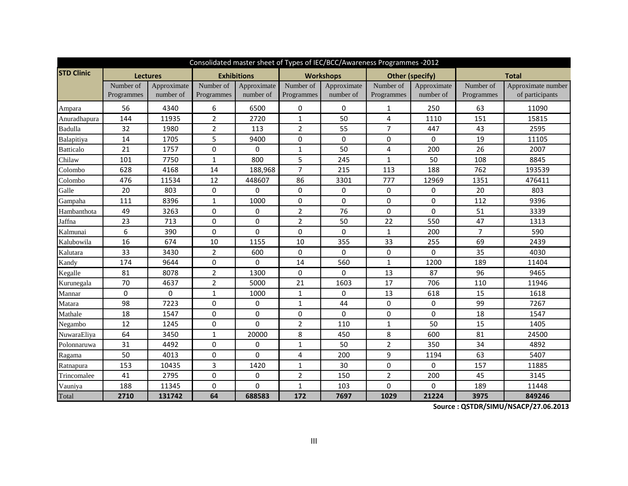|                   |            |                 |                |                    |                | Consolidated master sheet of Types of IEC/BCC/Awareness Programmes -2012 |                |                 |                |                    |
|-------------------|------------|-----------------|----------------|--------------------|----------------|--------------------------------------------------------------------------|----------------|-----------------|----------------|--------------------|
| <b>STD Clinic</b> |            | <b>Lectures</b> |                | <b>Exhibitions</b> |                | <b>Workshops</b>                                                         |                | Other (specify) |                | <b>Total</b>       |
|                   | Number of  | Approximate     | Number of      | Approximate        | Number of      | Approximate                                                              | Number of      | Approximate     | Number of      | Approximate number |
|                   | Programmes | number of       | Programmes     | number of          | Programmes     | number of                                                                | Programmes     | number of       | Programmes     | of participants    |
| Ampara            | 56         | 4340            | 6              | 6500               | $\pmb{0}$      | 0                                                                        | $\mathbf{1}$   | 250             | 63             | 11090              |
| Anuradhapura      | 144        | 11935           | $\overline{2}$ | 2720               | $\mathbf{1}$   | 50                                                                       | 4              | 1110            | 151            | 15815              |
| Badulla           | 32         | 1980            | $\overline{2}$ | 113                | $\overline{2}$ | 55                                                                       | $\overline{7}$ | 447             | 43             | 2595               |
| Balapitiya        | 14         | 1705            | 5              | 9400               | 0              | $\Omega$                                                                 | 0              | $\Omega$        | 19             | 11105              |
| <b>Batticalo</b>  | 21         | 1757            | 0              | 0                  | $\mathbf{1}$   | 50                                                                       | 4              | 200             | 26             | 2007               |
| Chilaw            | 101        | 7750            | $\mathbf{1}$   | 800                | 5              | 245                                                                      | $\mathbf{1}$   | 50              | 108            | 8845               |
| Colombo           | 628        | 4168            | 14             | 188,968            | $\overline{7}$ | 215                                                                      | 113            | 188             | 762            | 193539             |
| Colombo           | 476        | 11534           | 12             | 448607             | 86             | 3301                                                                     | 777            | 12969           | 1351           | 476411             |
| Galle             | 20         | 803             | 0              | 0                  | $\pmb{0}$      | $\mathbf 0$                                                              | 0              | 0               | 20             | 803                |
| Gampaha           | 111        | 8396            | $\mathbf{1}$   | 1000               | 0              | 0                                                                        | $\pmb{0}$      | 0               | 112            | 9396               |
| Hambanthota       | 49         | 3263            | $\mathbf{0}$   | 0                  | $\overline{2}$ | 76                                                                       | 0              | $\Omega$        | 51             | 3339               |
| Jaffna            | 23         | 713             | $\mathbf{0}$   | $\Omega$           | $\overline{2}$ | 50                                                                       | 22             | 550             | 47             | 1313               |
| Kalmunai          | 6          | 390             | $\Omega$       | 0                  | 0              | $\Omega$                                                                 | $\mathbf{1}$   | 200             | $\overline{7}$ | 590                |
| Kalubowila        | 16         | 674             | 10             | 1155               | 10             | 355                                                                      | 33             | 255             | 69             | 2439               |
| Kalutara          | 33         | 3430            | $\overline{2}$ | 600                | $\pmb{0}$      | $\mathbf 0$                                                              | $\pmb{0}$      | 0               | 35             | 4030               |
| Kandy             | 174        | 9644            | $\bf{0}$       | 0                  | 14             | 560                                                                      | $\mathbf{1}$   | 1200            | 189            | 11404              |
| Kegalle           | 81         | 8078            | $\overline{2}$ | 1300               | $\mathbf 0$    | $\Omega$                                                                 | 13             | 87              | 96             | 9465               |
| Kurunegala        | 70         | 4637            | $\overline{2}$ | 5000               | 21             | 1603                                                                     | 17             | 706             | 110            | 11946              |
| Mannar            | $\Omega$   | $\mathbf 0$     | $\mathbf{1}$   | 1000               | $\mathbf{1}$   | $\mathbf 0$                                                              | 13             | 618             | 15             | 1618               |
| Matara            | 98         | 7223            | 0              | 0                  | $\mathbf{1}$   | 44                                                                       | 0              | 0               | 99             | 7267               |
| Mathale           | 18         | 1547            | $\mathbf{0}$   | 0                  | 0              | $\Omega$                                                                 | 0              | 0               | 18             | 1547               |
| Negambo           | 12         | 1245            | 0              | $\Omega$           | $\overline{2}$ | 110                                                                      | $\mathbf 1$    | 50              | 15             | 1405               |
| NuwaraEliya       | 64         | 3450            | $\mathbf 1$    | 20000              | 8              | 450                                                                      | 8              | 600             | 81             | 24500              |
| Polonnaruwa       | 31         | 4492            | $\mathbf{0}$   | 0                  | $\mathbf{1}$   | 50                                                                       | $\overline{2}$ | 350             | 34             | 4892               |
| Ragama            | 50         | 4013            | $\mathbf{0}$   | 0                  | 4              | 200                                                                      | 9              | 1194            | 63             | 5407               |
| Ratnapura         | 153        | 10435           | 3              | 1420               | $\mathbf{1}$   | 30                                                                       | $\mathbf 0$    | $\Omega$        | 157            | 11885              |
| Trincomalee       | 41         | 2795            | $\Omega$       | 0                  | $\overline{2}$ | 150                                                                      | $\overline{2}$ | 200             | 45             | 3145               |
| Vauniya           | 188        | 11345           | $\mathbf 0$    | 0                  | $\mathbf{1}$   | 103                                                                      | 0              | 0               | 189            | 11448              |
| Total             | 2710       | 131742          | 64             | 688583             | 172            | 7697                                                                     | 1029           | 21224           | 3975           | 849246             |

**Source : QSTDR/SIMU/NSACP/27.06.2013**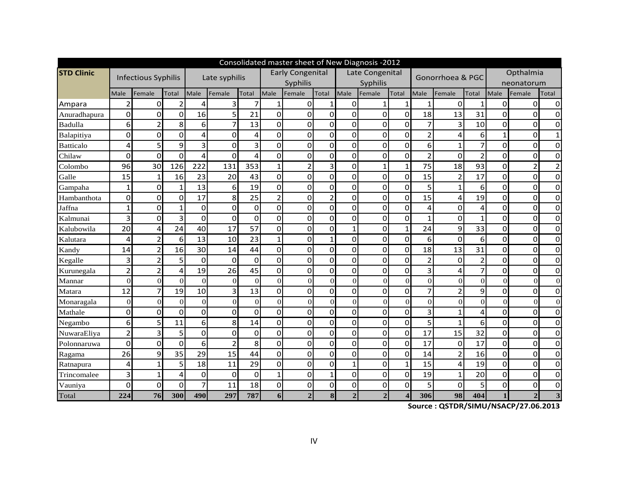|                   |                | Consolidated master sheet of New Diagnosis -2012 |                         |                |                         |                |                 |                                            |                |                  |                  |          |                  |                |                |                                                                                                                                                                                                                                                                                                                                                                                                                                                                         |          |                  |
|-------------------|----------------|--------------------------------------------------|-------------------------|----------------|-------------------------|----------------|-----------------|--------------------------------------------|----------------|------------------|------------------|----------|------------------|----------------|----------------|-------------------------------------------------------------------------------------------------------------------------------------------------------------------------------------------------------------------------------------------------------------------------------------------------------------------------------------------------------------------------------------------------------------------------------------------------------------------------|----------|------------------|
| <b>STD Clinic</b> |                | <b>Infectious Syphilis</b>                       |                         |                | Late syphilis           |                |                 | <b>Early Congenital</b><br>Late Congenital |                |                  |                  |          | Gonorrhoea & PGC |                |                | Opthalmia<br>neonatorum<br>Female<br>$\mathbf 0$<br>$\Omega$<br>$\mathbf 0$<br>0<br>$\mathbf 0$<br>$\Omega$<br>$\mathbf{1}$<br>$\Omega$<br>$\mathbf 0$<br>$\Omega$<br>$\Omega$<br>$\Omega$<br>$\mathbf 0$<br>$\overline{\mathbf{c}}$<br>$\mathbf 0$<br>$\Omega$<br>$\Omega$<br>$\Omega$<br>$\mathbf 0$<br>$\Omega$<br>$\Omega$<br>$\Omega$<br>$\Omega$<br>$\Omega$<br>$\mathbf 0$<br>$\Omega$<br>$\mathbf 0$<br>$\Omega$<br>$\mathbf 0$<br>0<br>$\mathbf 0$<br>$\Omega$ |          |                  |
|                   |                |                                                  |                         |                |                         |                | <b>Syphilis</b> |                                            |                |                  | Syphilis         |          |                  |                |                |                                                                                                                                                                                                                                                                                                                                                                                                                                                                         |          |                  |
|                   | Male           | Female                                           | Total                   | Male           | Female                  | Total          | Male            | Female                                     | Total          | Male             | Female           | Total    | Male             | Female         | Total          | Male                                                                                                                                                                                                                                                                                                                                                                                                                                                                    |          | Total            |
| Ampara            | $\overline{2}$ | $\overline{0}$                                   | $\overline{2}$          | 4              | 3                       | 7              | 1               | 0                                          | 1              | $\mathbf 0$      | 1                | 1        | 1                | 0              | 1              |                                                                                                                                                                                                                                                                                                                                                                                                                                                                         |          | 0                |
| Anuradhapura      | $\mathbf 0$    | 0                                                | 0                       | 16             | 5                       | 21             | $\Omega$        | $\mathbf 0$                                | 0              | $\mathbf 0$      | 0                | $\Omega$ | 18               | 13             | 31             |                                                                                                                                                                                                                                                                                                                                                                                                                                                                         |          | $\mathbf 0$      |
| Badulla           | 6              | $\overline{2}$                                   | 8                       | 6              | $\overline{7}$          | 13             | $\Omega$        | $\Omega$                                   | $\overline{O}$ | $\mathbf 0$      | $\mathbf 0$      | $\Omega$ | 7                | 3              | 10             |                                                                                                                                                                                                                                                                                                                                                                                                                                                                         |          | 0                |
| Balapitiya        | $\mathbf 0$    | 0                                                | $\overline{O}$          | 4              | $\mathbf{0}$            | 4              | 0               | 0                                          | $\mathbf 0$    | 0                | 0                | $\Omega$ | $\overline{2}$   | 4              | 6              |                                                                                                                                                                                                                                                                                                                                                                                                                                                                         |          | $\mathbf 1$      |
| <b>Batticalo</b>  | 4              | 5                                                | 9                       | 3              | $\mathbf 0$             | 3              | $\Omega$        | $\mathbf 0$                                | $\mathbf 0$    | 0                | $\mathbf 0$      | $\Omega$ | 6                | 1              | 7              |                                                                                                                                                                                                                                                                                                                                                                                                                                                                         |          | $\overline{0}$   |
| Chilaw            | $\Omega$       | $\Omega$                                         | $\Omega$                | $\overline{4}$ | $\Omega$                | 4              | $\Omega$        | 0                                          | 0              | $\Omega$         | 0                | $\Omega$ | $\overline{2}$   | $\Omega$       | $\overline{2}$ |                                                                                                                                                                                                                                                                                                                                                                                                                                                                         |          | $\overline{0}$   |
| Colombo           | 96             | 30                                               | 126                     | 222            | 131                     | 353            | 1               | 2                                          | 3              | 0                | $\mathbf{1}$     | 1        | 75               | 18             | 93             |                                                                                                                                                                                                                                                                                                                                                                                                                                                                         |          | $\overline{c}$   |
| Galle             | 15             | $\mathbf{1}$                                     | 16                      | 23             | 20                      | 43             | 0               | 0                                          | 0              | 0                | 0                | $\Omega$ | 15               | $\overline{2}$ | 17             |                                                                                                                                                                                                                                                                                                                                                                                                                                                                         |          | $\mathbf 0$      |
| Gampaha           | $\mathbf{1}$   | $\Omega$                                         | $\mathbf{1}$            | 13             | 6                       | 19             | $\Omega$        | $\Omega$                                   | $\Omega$       | $\Omega$         | $\mathbf 0$      | $\Omega$ | 5                | $\mathbf{1}$   | 6              |                                                                                                                                                                                                                                                                                                                                                                                                                                                                         |          | 0                |
| Hambanthota       | $\mathbf 0$    | $\Omega$                                         | $\mathbf 0$             | 17             | 8                       | 25             | $\overline{2}$  | 0                                          | $\overline{a}$ | 0                | 0                | $\Omega$ | 15               | 4              | 19             |                                                                                                                                                                                                                                                                                                                                                                                                                                                                         |          | 0                |
| Jaffna            | $\mathbf{1}$   | 0                                                | $\mathbf{1}$            | 0              | $\mathbf 0$             | $\Omega$       | $\Omega$        | $\Omega$                                   | $\Omega$       | $\Omega$         | $\Omega$         | $\Omega$ | 4                | $\Omega$       | 4              |                                                                                                                                                                                                                                                                                                                                                                                                                                                                         |          | $\mathbf 0$      |
| Kalmunai          | 3              | $\Omega$                                         | 3                       | 0              | $\mathbf 0$             | $\Omega$       | $\Omega$        | $\Omega$                                   | $\mathbf 0$    | 0                | 0                | $\Omega$ | 1                | 0              |                |                                                                                                                                                                                                                                                                                                                                                                                                                                                                         |          | $\mathbf 0$      |
| Kalubowila        | 20             | 4                                                | 24                      | 40             | 17                      | 57             | $\Omega$        | $\Omega$                                   | 0              | 1                | $\mathbf 0$      | 1        | 24               | 9              | 33             |                                                                                                                                                                                                                                                                                                                                                                                                                                                                         |          | $\overline{0}$   |
| Kalutara          | $\overline{a}$ | $\overline{2}$                                   | 6                       | 13             | 10                      | 23             | 1               | $\overline{0}$                             | $\mathbf{1}$   | $\mathbf 0$      | $\mathbf 0$      | $\Omega$ | 6                | $\Omega$       | 6              |                                                                                                                                                                                                                                                                                                                                                                                                                                                                         |          | $\overline{0}$   |
| Kandy             | 14             | $\overline{2}$                                   | 16                      | 30             | 14                      | 44             | 0               | 0                                          | $\mathbf 0$    | 0                | 0                | $\Omega$ | 18               | 13             | 31             |                                                                                                                                                                                                                                                                                                                                                                                                                                                                         |          | $\mathbf 0$      |
| Kegalle           | 3              | $\overline{2}$                                   | 5                       | 0              | $\mathbf 0$             | $\mathbf 0$    | $\Omega$        | $\mathbf 0$                                | $\mathbf 0$    | 0                | $\mathbf 0$      | $\Omega$ | 2                | 0              | $\overline{2}$ |                                                                                                                                                                                                                                                                                                                                                                                                                                                                         |          | $\overline{0}$   |
| Kurunegala        | $\overline{2}$ | $\overline{2}$                                   | 4                       | 19             | 26                      | 45             | 0l              | $\Omega$                                   | 0              | $\Omega$         | 0                | $\Omega$ | 3                | 4              | 7              | $\Omega$                                                                                                                                                                                                                                                                                                                                                                                                                                                                | 0        | $\overline{0}$   |
| Mannar            | $\overline{0}$ | $\overline{0}$                                   | $\Omega$                | $\overline{0}$ | $\Omega$                | $\overline{0}$ | $\Omega$        | $\Omega$                                   | $\overline{0}$ | $\Omega$         | $\overline{0}$   | $\Omega$ | $\Omega$         | $\Omega$       | $\Omega$       | $\Omega$                                                                                                                                                                                                                                                                                                                                                                                                                                                                | $\Omega$ | $\boldsymbol{0}$ |
| Matara            | 12             | 7                                                | 19                      | 10             | $\overline{\mathbf{3}}$ | 13             | 0               | 0                                          | 0              | 0                | 0                | $\Omega$ | 7                | $\overline{2}$ | 9              | $\mathbf 0$                                                                                                                                                                                                                                                                                                                                                                                                                                                             | $\Omega$ | $\overline{0}$   |
| Monaragala        | $\theta$       | $\Omega$                                         | $\Omega$                | $\Omega$       | $\Omega$                | $\overline{0}$ | $\Omega$        | $\Omega$                                   | $\Omega$       | $\Omega$         | $\overline{0}$   | $\Omega$ | $\Omega$         | $\Omega$       | $\Omega$       | $\Omega$                                                                                                                                                                                                                                                                                                                                                                                                                                                                | $\Omega$ | $\theta$         |
| Mathale           | $\mathbf 0$    | 0                                                | 0                       | $\mathbf 0$    | $\mathbf 0$             | $\overline{0}$ | $\Omega$        | 0                                          | 0              | 0                | 0                | $\Omega$ | 3                |                | 4              | $\Omega$                                                                                                                                                                                                                                                                                                                                                                                                                                                                | 0        | 0                |
| Negambo           | 6              | 5                                                | 11                      | 6              | 8                       | 14             | ΩI              | $\Omega$                                   | $\Omega$       | $\Omega$         | $\Omega$         | $\Omega$ | 5                | 1              | 6              | $\Omega$                                                                                                                                                                                                                                                                                                                                                                                                                                                                | $\Omega$ | $\mathbf 0$      |
| NuwaraEliya       | $\overline{2}$ | 3                                                | 5                       | 0              | $\mathbf 0$             | 0              | $\Omega$        | $\Omega$                                   | $\mathbf{0}$   | 0                | 0                | $\Omega$ | 17               | 15             | 32             | $\mathbf 0$                                                                                                                                                                                                                                                                                                                                                                                                                                                             | $\Omega$ | $\mathbf 0$      |
| Polonnaruwa       | $\mathbf 0$    | 0                                                | $\mathbf 0$             | 6              | $\overline{2}$          | 8              | $\Omega$        | 0                                          | 0              | 0                | $\mathbf 0$      | 0        | 17               | 0              | 17             | 0                                                                                                                                                                                                                                                                                                                                                                                                                                                                       | $\Omega$ | $\overline{0}$   |
| Ragama            | 26             | 9                                                | 35                      | 29             | 15                      | 44             | ΩI              | $\Omega$                                   | $\overline{O}$ | $\mathbf 0$      | $\mathbf 0$      | $\Omega$ | 14               | $\overline{2}$ | 16             | $\mathbf 0$                                                                                                                                                                                                                                                                                                                                                                                                                                                             | $\Omega$ | 0                |
| Ratnapura         | 4              | 1                                                | 5                       | 18             | 11                      | 29             | 0               | 0                                          | 0              | 1                | 0                | 1        | 15               | 4              | 19             | $\Omega$                                                                                                                                                                                                                                                                                                                                                                                                                                                                | $\Omega$ | $\overline{0}$   |
| Trincomalee       | 3              | 1                                                | $\overline{\mathbf{r}}$ | 0              | $\mathbf{0}$            | 0              | 1               | 0                                          | $\mathbf{1}$   | $\boldsymbol{0}$ | $\boldsymbol{0}$ | 0        | 19               | 1              | 20             | 0                                                                                                                                                                                                                                                                                                                                                                                                                                                                       | $\Omega$ | $\mathbf 0$      |
| Vauniya           | $\Omega$       | $\overline{0}$                                   | 0                       | $\overline{7}$ | 11                      | 18             | 0l              | 0                                          | $\mathbf 0$    | $\mathbf 0$      | 0                | $\Omega$ | 5                | $\Omega$       | 5              | 0                                                                                                                                                                                                                                                                                                                                                                                                                                                                       | 0        | 0                |
| Total             | 224            | 76                                               | 300                     | 490            | 297                     | 787            |                 |                                            | 8              | $\overline{2}$   | $\overline{2}$   |          | 306              | 98             | 404            |                                                                                                                                                                                                                                                                                                                                                                                                                                                                         |          | 3                |

**Source : QSTDR/SIMU/NSACP/27.06.2013**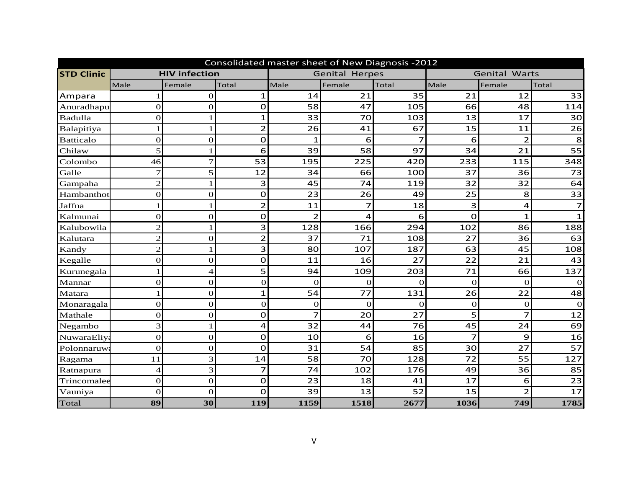|                  | Consolidated master sheet of New Diagnosis -2012<br><b>HIV infection</b><br><b>STD Clinic</b><br><b>Genital Herpes</b><br><b>Genital Warts</b> |                 |                |                |                |                  |                |                |          |  |  |  |  |  |
|------------------|------------------------------------------------------------------------------------------------------------------------------------------------|-----------------|----------------|----------------|----------------|------------------|----------------|----------------|----------|--|--|--|--|--|
|                  | Male                                                                                                                                           | Female          | Total          | Male           | Female         | Total            | Male           | Female         | Total    |  |  |  |  |  |
| Ampara           | 1                                                                                                                                              | $\Omega$        | $\mathbf{1}$   | 14             | 21             | 35               | 21             | 12             | 33       |  |  |  |  |  |
| Anuradhapu       | $\vert$ 0                                                                                                                                      | $\Omega$        | $\mathbf{O}$   | 58             | 47             | 105              | 66             | 48             | 114      |  |  |  |  |  |
| <b>Badulla</b>   | $\mathbf{O}$                                                                                                                                   | 1               | $\mathbf{1}$   | 33             | 70             | 103              | 13             | 17             | 30       |  |  |  |  |  |
| Balapitiya       | $\mathbf{1}$                                                                                                                                   | $\mathbf{1}$    | $\overline{2}$ | 26             | 41             | 67               | 15             | 11             | 26       |  |  |  |  |  |
| <b>Batticalo</b> | $\mathbf 0$                                                                                                                                    | $\vert$ 0       | $\mathbf 0$    | $\mathbf{1}$   | 6              | $\overline{7}$   | 6              | $\overline{2}$ | 8        |  |  |  |  |  |
| Chilaw           | 5                                                                                                                                              | 1               | 6              | 39             | 58             | 97               | 34             | 21             | 55       |  |  |  |  |  |
| Colombo          | 46                                                                                                                                             | 7 <sup>1</sup>  | 53             | 195            | 225            | 420              | 233            | 115            | 348      |  |  |  |  |  |
| Galle            | $\overline{7}$                                                                                                                                 | 5 <sup>1</sup>  | 12             | 34             | 66             | 100              | 37             | 36             | 73       |  |  |  |  |  |
| Gampaha          | $\overline{c}$                                                                                                                                 | $\mathbf{1}$    | 3              | 45             | 74             | 119              | 32             | 32             | 64       |  |  |  |  |  |
| Hambanthot       | $\Omega$                                                                                                                                       | $\mathbf{O}$    | O              | 23             | 26             | 49               | 25             | 8              | 33       |  |  |  |  |  |
| Jaffna           | 1                                                                                                                                              | $\mathbf{1}$    | $\overline{2}$ | 11             | $\overline{7}$ | 18               | 3              | 4              |          |  |  |  |  |  |
| Kalmunai         | $\mathbf 0$                                                                                                                                    | $\vert$ 0       | $\mathbf 0$    | $\overline{2}$ | 4              | $6 \overline{6}$ | $\mathbf{O}$   | $\mathbf{1}$   |          |  |  |  |  |  |
| Kalubowila       | $\overline{2}$                                                                                                                                 | $\mathbf{1}$    | 3              | 128            | 166            | 294              | 102            | 86             | 188      |  |  |  |  |  |
| Kalutara         | $\overline{2}$                                                                                                                                 | $\vert$ 0       | $\overline{2}$ | 37             | 71             | 108              | 27             | 36             | 63       |  |  |  |  |  |
| Kandy            | 2                                                                                                                                              | $\mathbf{1}$    | 3              | 80             | 107            | 187              | 63             | 45             | 108      |  |  |  |  |  |
| Kegalle          | $\mathbf{O}$                                                                                                                                   | $\mathbf{O}$    | $\overline{O}$ | 11             | 16             | 27               | 22             | 21             | 43       |  |  |  |  |  |
| Kurunegala       | $\mathbf{1}$                                                                                                                                   | $\vert 4 \vert$ | 5              | 94             | 109            | 203              | 71             | 66             | 137      |  |  |  |  |  |
| Mannar           | $\mathbf{O}$                                                                                                                                   | $\vert$ 0       | $\vert$ 0      | $\mathbf{0}$   | $\mathbf{O}$   | $\overline{0}$   | $\theta$       | $\Omega$       |          |  |  |  |  |  |
| Matara           |                                                                                                                                                | $\vert$ 0       | $\mathbf{1}$   | 54             | 77             | 131              | 26             | 22             | 48       |  |  |  |  |  |
| Monaragala       | $\mathbf{O}$                                                                                                                                   | $\mathbf{O}$    | $\mathbf{O}$   | $\vert$ 0      | $\mathbf{0}$   | $\mathbf{O}$     | $\mathbf{O}$   | $\overline{O}$ | $\Omega$ |  |  |  |  |  |
| Mathale          | $\vert$ 0                                                                                                                                      | $\vert$ 0       | $\mathbf{O}$   | $\overline{7}$ | 20             | 27               | 5              | $\overline{7}$ | 12       |  |  |  |  |  |
| Negambo          | $\vert 3 \vert$                                                                                                                                | $\mathbf{1}$    | 4              | 32             | 44             | 76               | 45             | 24             | 69       |  |  |  |  |  |
| NuwaraEliya      | $\Omega$                                                                                                                                       | $\mathbf{O}$    | $\mathbf{O}$   | 10             | 6              | 16               | $\overline{7}$ | 9              | 16       |  |  |  |  |  |
| Polonnaruwa      | $\mathbf 0$                                                                                                                                    | 0               | $\overline{O}$ | 31             | 54             | 85               | 30             | 27             | 57       |  |  |  |  |  |
| Ragama           | 11                                                                                                                                             | $\overline{3}$  | 14             | 58             | 70             | 128              | 72             | 55             | 127      |  |  |  |  |  |
| Ratnapura        | $\overline{4}$                                                                                                                                 | $\vert 3 \vert$ | $\overline{7}$ | 74             | 102            | 176              | 49             | 36             | 85       |  |  |  |  |  |
| Trincomalee      | $\mathbf{O}$                                                                                                                                   | $\vert$ 0       | $\mathbf 0$    | 23             | 18             | 41               | 17             | $6 \mid$       | 23       |  |  |  |  |  |
| Vauniya          | $\mathbf{O}$                                                                                                                                   | $\mathbf 0$     | $\overline{O}$ | 39             | 13             | 52               | 15             | $\overline{2}$ | 17       |  |  |  |  |  |
| Total            | 89                                                                                                                                             | 30              | 119            | 1159           | 1518           | 2677             | 1036           | 749            | 1785     |  |  |  |  |  |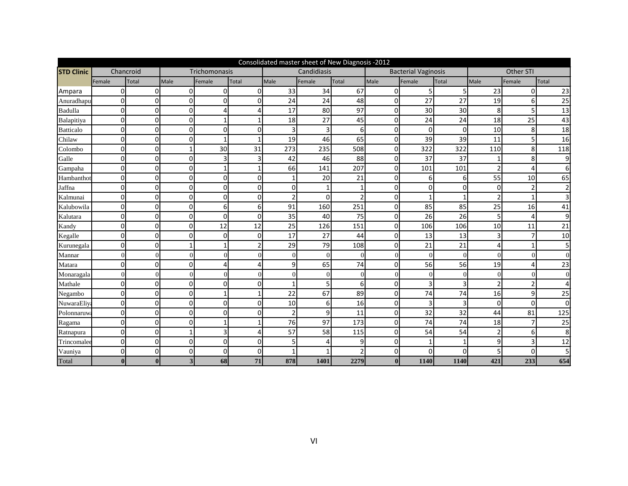|                   |              |                  |                         |                  |                  |                 | Consolidated master sheet of New Diagnosis -2012 |                  |                |                            |          |                |           |                |
|-------------------|--------------|------------------|-------------------------|------------------|------------------|-----------------|--------------------------------------------------|------------------|----------------|----------------------------|----------|----------------|-----------|----------------|
| <b>STD Clinic</b> | Chancroid    |                  |                         | Trichomonasis    |                  |                 | Candidiasis                                      |                  |                | <b>Bacterial Vaginosis</b> |          |                | Other STI |                |
|                   | Female       | Total            | Male                    | Female           | Total            | Male            | Female                                           | Total            | Male           | Female                     | Total    | Male           | Female    | Total          |
| Ampara            | 0            | $\Omega$         | $\Omega$                | $\Omega$         | $\Omega$         | 33              | 34                                               | 67               | $\Omega$       | 5 <sub>l</sub>             | 5        | 23             | $\Omega$  | 23             |
| Anuradhapu        | 0            | $\overline{0}$   | $\overline{0}$          | $\overline{0}$   | $\Omega$         | 24              | 24                                               | 48               | $\Omega$       | 27                         | 27       | 19             | 6         | 25             |
| Badulla           | 0            | $\overline{0}$   | $\overline{0}$          | 4                | 4                | 17              | 80                                               | 97               | $\overline{0}$ | 30                         | 30       | 8              | 5         | 13             |
| Balapitiya        | 0            | $\overline{0}$   | $\overline{0}$          | $\mathbf{1}$     |                  | 18              | 27                                               | 45               | $\Omega$       | 24                         | 24       | 18             | 25        | 43             |
| <b>Batticalo</b>  | 0            | $\overline{0}$   | 0                       | $\overline{0}$   | $\Omega$         | $\overline{3}$  | 3                                                | 6                | $\Omega$       | $\overline{0}$             | $\Omega$ | 10             | 8         | 18             |
| Chilaw            | 0            | $\overline{0}$   | $\overline{0}$          | $\mathbf{1}$     | 1                | 19              | 46                                               | 65               | $\overline{0}$ | 39                         | 39       | 11             | 5         | 16             |
| Colombo           | 0            | $\overline{0}$   | 1                       | 30               | 31               | 273             | 235                                              | 508              | $\Omega$       | 322                        | 322      | 110            | 8         | 118            |
| Galle             | 0            | $\overline{0}$   | 0                       | 3                | 3                | 42              | 46                                               | 88               | $\Omega$       | 37                         | 37       |                | 8         | $\overline{9}$ |
| Gampaha           | 0            | $\overline{0}$   | $\Omega$                | $1\,$            | $\mathbf{1}$     | 66              | 141                                              | 207              | $\Omega$       | 101                        | 101      | $\overline{2}$ | Λ         | 6              |
| Hambanthot        | 0            | $\overline{0}$   | $\Omega$                | $\overline{0}$   | $\Omega$         | $\mathbf{1}$    | 20                                               | 21               | $\Omega$       | $6 \mid$                   | $6 \mid$ | 55             | 10        | 65             |
| Jaffna            | 0            | $\overline{0}$   | $\overline{0}$          | $\overline{0}$   | $\Omega$         | $\overline{0}$  | 1                                                | $\mathbf{1}$     | $\Omega$       | $\Omega$                   | $\Omega$ | $\Omega$       |           | $\overline{2}$ |
| Kalmunai          | 0            | $\overline{0}$   | $\overline{0}$          | $\overline{0}$   | $\overline{0}$   | $\overline{2}$  | $\Omega$                                         | $\overline{2}$   | $\overline{0}$ | $1\vert$                   | 1        | 2              |           | 3              |
| Kalubowila        | 0            | $\overline{0}$   | $\overline{0}$          | $6 \overline{6}$ | $6 \overline{6}$ | 91              | 160                                              | 251              | $\Omega$       | 85                         | 85       | 25             | 16        | 41             |
| Kalutara          | 0            | $\overline{0}$   | $\overline{0}$          | $\overline{0}$   | $\Omega$         | $\overline{35}$ | 40                                               | 75               | $\Omega$       | $\overline{26}$            | 26       | 5              | 4         | 9              |
| Kandy             | 0            | $\overline{0}$   | $\overline{0}$          | 12               | 12               | 25              | 126                                              | 151              | $\overline{0}$ | 106                        | 106      | 10             | 11        | 21             |
| Kegalle           | 0            | $\overline{0}$   | 0                       | $\overline{0}$   | $\Omega$         | 17              | 27                                               | 44               | $\Omega$       | 13                         | 13       | 3              |           | 10             |
| Kurunegala        | 0            | $\overline{0}$   | 1                       | $\mathbf 1$      | 2                | 29              | 79                                               | 108              | $\Omega$       | 21                         | 21       | 4              |           | 5              |
| Mannar            | $\theta$     | $\overline{0}$   | $\Omega$                | $\overline{0}$   | $\Omega$         | $\mathbf{0}$    | $\Omega$                                         | $\Omega$         | $\theta$       | $\overline{0}$             | $\Omega$ | $\Omega$       |           | $\Omega$       |
| Matara            | 0            | $\overline{0}$   | 0                       | 4                | 4                | 9               | 65                                               | 74               | $\Omega$       | 56                         | 56       | 19             |           | 23             |
| Monaragala        | $\theta$     | $\overline{0}$   | $\theta$                | $\Omega$         | $\Omega$         | $\overline{0}$  | $\Omega$                                         | $\Omega$         | $\theta$       | $\Omega$                   | $\Omega$ | $\theta$       |           | $\mathbf{0}$   |
| Mathale           | 0            | $\overline{0}$   | $\overline{0}$          | $\overline{0}$   | $\Omega$         | $\mathbf{1}$    | 5                                                | $6 \overline{6}$ | $\Omega$       | $\vert$                    | 3        | $\overline{2}$ |           | 4              |
| Negambo           | 0            | $\overline{0}$   | $\Omega$                | $\mathbf{1}$     |                  | 22              | 67                                               | 89               | $\Omega$       | 74                         | 74       | 16             | 9         | 25             |
| NuwaraEliy        | 0            | $\overline{0}$   | $\overline{0}$          | $\Omega$         | $\Omega$         | 10              | 6                                                | 16               | $\Omega$       | $\overline{3}$             | 3        | $\Omega$       | $\Omega$  | $\mathbf 0$    |
| Polonnaruw        | 0            | $\overline{0}$   | $\overline{0}$          | $\overline{0}$   | $\Omega$         | $\overline{2}$  | 9                                                | 11               | $\overline{0}$ | 32                         | 32       | 44             | 81        | 125            |
| Ragama            | 0            | $\overline{0}$   | $\overline{0}$          | $\mathbf{1}$     |                  | 76              | 97                                               | 173              | $\Omega$       | 74                         | 74       | 18             |           | 25             |
| Ratnapura         | 0            | $\overline{0}$   | 1                       | 3                | 4                | 57              | 58                                               | 115              | $\Omega$       | 54                         | 54       | $\overline{2}$ | 6         | 8              |
| Trincomalee       | 0            | $\overline{0}$   | $\overline{0}$          | $\overline{0}$   | $\Omega$         | $\overline{5}$  | 4                                                | 9                | $\Omega$       | $\mathbf{1}$               |          | $\overline{9}$ |           | 12             |
| Vauniya           | 0            | $\overline{0}$   | $\overline{0}$          | $\overline{0}$   | $\Omega$         | $\mathbf{1}$    |                                                  | $\overline{2}$   | $\Omega$       | $\Omega$                   | $\Omega$ | 5              | $\Omega$  | 5              |
| Total             | $\mathbf{0}$ | $\boldsymbol{0}$ | $\overline{\mathbf{3}}$ | 68               | 71               | 878             | 1401                                             | 2279             | $\bf{0}$       | 1140                       | 1140     | 421            | 233       | 654            |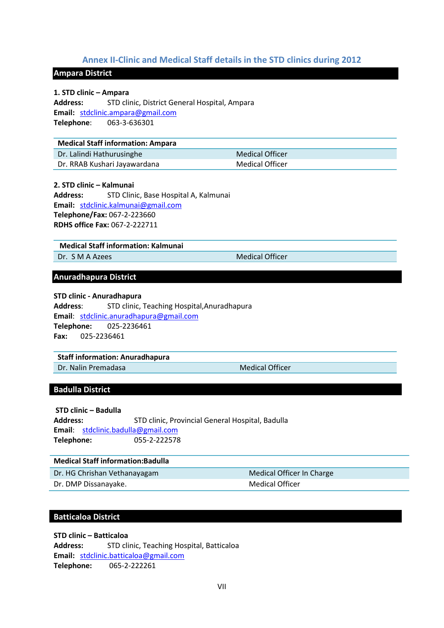### <span id="page-55-0"></span>**Annex II-Clinic and Medical Staff details in the STD clinics during 2012**

### **Ampara District**

#### **1. STD clinic – Ampara**

**Address:** STD clinic, District General Hospital, Ampara **Email:** stdclinic.ampara@gmail.com **Telephone**: 063-3-636301

| <b>Medical Staff information: Ampara</b> |                 |  |  |  |  |  |  |
|------------------------------------------|-----------------|--|--|--|--|--|--|
| Dr. Lalindi Hathurusinghe                | Medical Officer |  |  |  |  |  |  |
| Dr. RRAB Kushari Jayawardana             | Medical Officer |  |  |  |  |  |  |

#### **2. STD clinic – Kalmunai**

**Address:** STD Clinic, Base Hospital A, Kalmunai **Email:** stdclinic.kalmunai@gmail.com **Telephone/Fax:** 067-2-223660 **RDHS office Fax:** 067-2-222711

#### **Medical Staff information: Kalmunai**

Dr. S M A Azees Medical Officer

### **Anuradhapura District**

#### **STD clinic - Anuradhapura**

**Address**: STD clinic, Teaching Hospital,Anuradhapura **Email**: [stdclinic.anuradhapura@gmail.com](mailto:stdclini.anuradhapura@gmail.com) **Telephone:** 025-2236461 **Fax:** 025-2236461

### **Staff information: Anuradhapura**

Dr. Nalin Premadasa Medical Officer

#### **Badulla District**

**STD clinic – Badulla Address:** STD clinic, Provincial General Hospital, Badulla **Email**: [stdclinic.badulla@gmail.com](mailto:stdclinic.badulla@gmail.com) **Telephone:** 055-2-222578

### **Medical Staff information:Badulla**

| Dr. HG Chrishan Vethanayagam | Medical Officer In Charge |
|------------------------------|---------------------------|
| Dr. DMP Dissanayake.         | Medical Officer           |

#### **Batticaloa District**

**STD clinic – Batticaloa Address:** STD clinic, Teaching Hospital, Batticaloa **Email:** [stdclinic.batticaloa@gmail.com](mailto:stdclinic.batticaloa@gmail.com) **Telephone:** 065-2-222261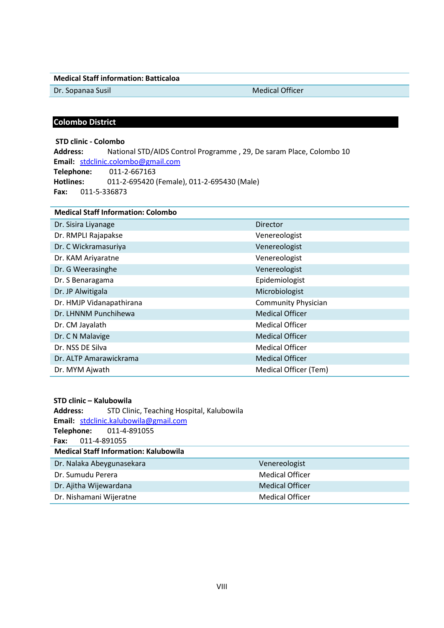### **Medical Staff information: Batticaloa**

Dr. Sopanaa Susil Medical Officer

### **Colombo District**

### **STD clinic - Colombo**

**Address:** National STD/AIDS Control Programme , 29, De saram Place, Colombo 10 **Email:** stdclinic.colombo@gmail.com **Telephone:** 011-2-667163 **Hotlines:** 011-2-695420 (Female), 011-2-695430 (Male) **Fax:** 011-5-336873

| <b>Director</b><br>Dr. Sisira Liyanage<br>Dr. RMPLI Rajapakse<br>Venereologist<br>Venereologist<br>Dr. C Wickramasuriya<br>Dr. KAM Ariyaratne<br>Venereologist<br>Dr. G Weerasinghe<br>Venereologist<br>Epidemiologist<br>Dr. S Benaragama<br>Microbiologist<br>Dr. JP Alwitigala<br>Dr. HMJP Vidanapathirana<br><b>Community Physician</b><br>Dr. LHNNM Punchihewa<br><b>Medical Officer</b><br>Medical Officer<br>Dr. CM Jayalath<br><b>Medical Officer</b><br>Dr. C N Malavige<br>Dr. NSS DE Silva<br><b>Medical Officer</b><br>Dr. ALTP Amarawickrama<br><b>Medical Officer</b><br>Medical Officer (Tem)<br>Dr. MYM Ajwath | <b>Medical Staff Information: Colombo</b> |  |
|--------------------------------------------------------------------------------------------------------------------------------------------------------------------------------------------------------------------------------------------------------------------------------------------------------------------------------------------------------------------------------------------------------------------------------------------------------------------------------------------------------------------------------------------------------------------------------------------------------------------------------|-------------------------------------------|--|
|                                                                                                                                                                                                                                                                                                                                                                                                                                                                                                                                                                                                                                |                                           |  |
|                                                                                                                                                                                                                                                                                                                                                                                                                                                                                                                                                                                                                                |                                           |  |
|                                                                                                                                                                                                                                                                                                                                                                                                                                                                                                                                                                                                                                |                                           |  |
|                                                                                                                                                                                                                                                                                                                                                                                                                                                                                                                                                                                                                                |                                           |  |
|                                                                                                                                                                                                                                                                                                                                                                                                                                                                                                                                                                                                                                |                                           |  |
|                                                                                                                                                                                                                                                                                                                                                                                                                                                                                                                                                                                                                                |                                           |  |
|                                                                                                                                                                                                                                                                                                                                                                                                                                                                                                                                                                                                                                |                                           |  |
|                                                                                                                                                                                                                                                                                                                                                                                                                                                                                                                                                                                                                                |                                           |  |
|                                                                                                                                                                                                                                                                                                                                                                                                                                                                                                                                                                                                                                |                                           |  |
|                                                                                                                                                                                                                                                                                                                                                                                                                                                                                                                                                                                                                                |                                           |  |
|                                                                                                                                                                                                                                                                                                                                                                                                                                                                                                                                                                                                                                |                                           |  |
|                                                                                                                                                                                                                                                                                                                                                                                                                                                                                                                                                                                                                                |                                           |  |
|                                                                                                                                                                                                                                                                                                                                                                                                                                                                                                                                                                                                                                |                                           |  |
|                                                                                                                                                                                                                                                                                                                                                                                                                                                                                                                                                                                                                                |                                           |  |

#### **STD clinic – Kalubowila**

**Address:** STD Clinic, Teaching Hospital, Kalubowila **Email:** stdclinic.kalubowila@gmail.com **Telephone:** 011-4-891055 **Fax:** 011-4-891055 **Medical Staff Information: Kalubowila** Dr. Nalaka Abeygunasekara Venereologist Dr. Sumudu Perera **Medical Officer** Medical Officer Dr. Ajitha Wijewardana Medical Officer Dr. Nishamani Wijeratne Medical Officer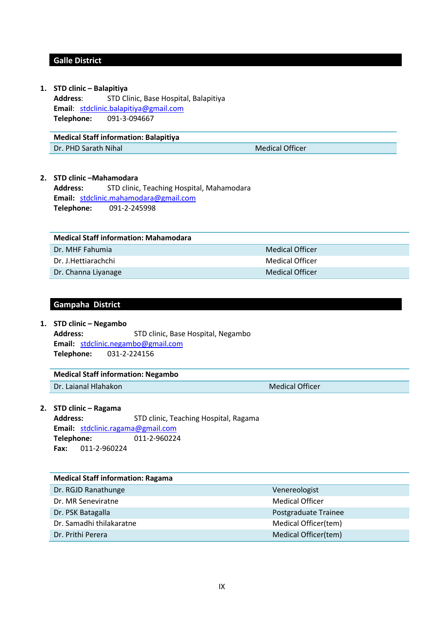### **Galle District**

#### **1. STD clinic – Balapitiya**

**Address**: STD Clinic, Base Hospital, Balapitiya **Email**: [stdclinic.balapitiya@gmail.com](mailto:stdclinic.balapitiya@gmail.com) **Telephone:** 091-3-094667

### **Medical Staff information: Balapitiya**

Dr. PHD Sarath Nihal Medical Officer

### **2. STD clinic –Mahamodara**

**Address:** STD clinic, Teaching Hospital, Mahamodara **Email:** stdclinic.mahamodara@gmail.com **Telephone:** 091-2-245998

| <b>Medical Staff information: Mahamodara</b> |                 |
|----------------------------------------------|-----------------|
| Dr. MHF Fahumia                              | Medical Officer |
| Dr. J. Hettiarachchi                         | Medical Officer |
| Dr. Channa Liyanage                          | Medical Officer |

### **Gampaha District**

### **1. STD clinic – Negambo**

**Address:** STD clinic, Base Hospital, Negambo **Email:** stdclinic.negambo@gmail.com **Telephone:** 031-2-224156

#### **Medical Staff information: Negambo**

Dr. Laianal Hlahakon Medical Officer

#### **2. STD clinic – Ragama**

Address: STD clinic, Teaching Hospital, Ragama **Email:** stdclinic.ragama@gmail.com **Telephone:** 011-2-960224 **Fax:** 011-2-960224

| <b>Medical Staff information: Ragama</b> |                        |
|------------------------------------------|------------------------|
| Dr. RGJD Ranathunge                      | Venereologist          |
| Dr. MR Seneviratne                       | <b>Medical Officer</b> |
| Dr. PSK Batagalla                        | Postgraduate Trainee   |
| Dr. Samadhi thilakaratne                 | Medical Officer(tem)   |
| Dr. Prithi Perera                        | Medical Officer(tem)   |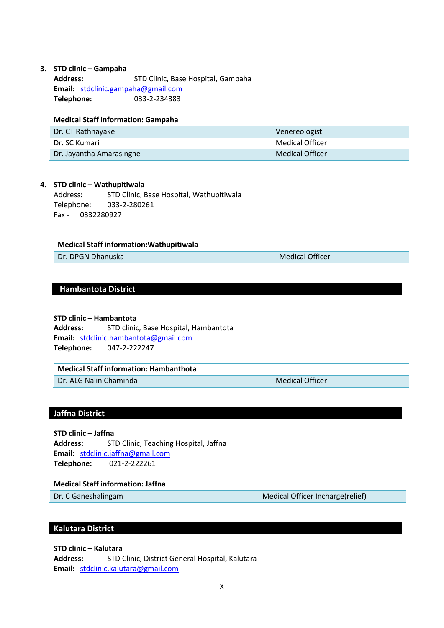### **3. STD clinic – Gampaha**

**Address:** STD Clinic, Base Hospital, Gampaha **Email:** [stdclinic.gampaha@gmail.com](mailto:stdclinic.gampaha@gmail.com) **Telephone:** 033-2-234383

| <b>Medical Staff information: Gampaha</b> |                        |
|-------------------------------------------|------------------------|
| Dr. CT Rathnayake                         | Venereologist          |
| Dr. SC Kumari                             | Medical Officer        |
| Dr. Jayantha Amarasinghe                  | <b>Medical Officer</b> |

#### **4. STD clinic – Wathupitiwala**

Address: STD Clinic, Base Hospital, Wathupitiwala Telephone: 033-2-280261 Fax - 0332280927

#### **Medical Staff information:Wathupitiwala**

Dr. DPGN Dhanuska Medical Officer

### **Hambantota District**

### **STD clinic – Hambantota**

**Address:** STD clinic, Base Hospital, Hambantota **Email:** stdclinic.hambantota@gmail.com **Telephone:** 047-2-222247

#### **Medical Staff information: Hambanthota**

Dr. ALG Nalin Chaminda Medical Officer

### **Jaffna District**

**STD clinic – Jaffna Address:** STD Clinic, Teaching Hospital, Jaffna **Email:** stdclinic.jaffna@gmail.com **Telephone:** 021-2-222261

### **Medical Staff information: Jaffna**

Dr. C Ganeshalingam Medical Officer Incharge(relief)

### **Kalutara District**

**STD clinic – Kalutara Address:** STD Clinic, District General Hospital, Kalutara **Email:** stdclinic.kalutara@gmail.com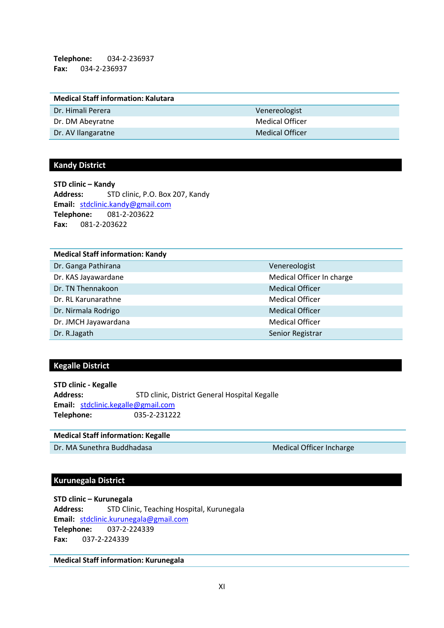**Telephone:** 034-2-236937 **Fax:** 034-2-236937

| <b>Medical Staff information: Kalutara</b> |                        |
|--------------------------------------------|------------------------|
| Dr. Himali Perera                          | Venereologist          |
| Dr. DM Abeyratne                           | Medical Officer        |
| Dr. AV Ilangaratne                         | <b>Medical Officer</b> |

### **Kandy District**

**STD clinic – Kandy Address:** STD clinic, P.O. Box 207, Kandy **Email:** stdclinic.kandy@gmail.com **Telephone:** 081-2-203622 **Fax:** 081-2-203622

### **Medical Staff information: Kandy**

| Dr. Ganga Pathirana  | Venereologist             |
|----------------------|---------------------------|
| Dr. KAS Jayawardane  | Medical Officer In charge |
| Dr. TN Thennakoon    | <b>Medical Officer</b>    |
| Dr. RL Karunarathne  | <b>Medical Officer</b>    |
| Dr. Nirmala Rodrigo  | <b>Medical Officer</b>    |
| Dr. JMCH Jayawardana | <b>Medical Officer</b>    |
| Dr. R.Jagath         | Senior Registrar          |

### **Kegalle District**

**STD clinic - Kegalle** Address: STD clinic, District General Hospital Kegalle **Email:** stdclinic.kegalle@gmail.com **Telephone:** 035-2-231222

### **Medical Staff information: Kegalle**

Dr. MA Sunethra Buddhadasa Medical Officer Incharge

### **Kurunegala District**

**STD clinic – Kurunegala Address:** STD Clinic, Teaching Hospital, Kurunegala **Email:** stdclinic.kurunegala@gmail.com **Telephone:** 037-2-224339 **Fax:** 037-2-224339

**Medical Staff information: Kurunegala**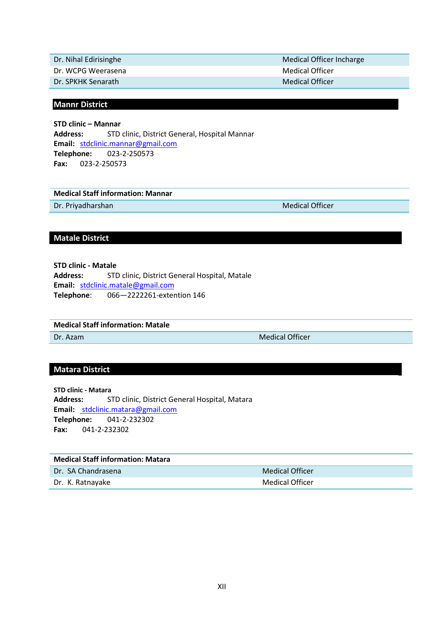| Dr. Nihal Edirisinghe | Medical Officer Incharge |
|-----------------------|--------------------------|
| Dr. WCPG Weerasena    | Medical Officer          |
| Dr. SPKHK Senarath    | Medical Officer          |
|                       |                          |

### **Mannr District**

**STD clinic – Mannar Address:** STD clinic, District General, Hospital Mannar **Email:** stdclinic.mannar@gmail.com **Telephone:** 023-2-250573 **Fax:** 023-2-250573

### **Medical Staff information: Mannar**

Dr. Priyadharshan Medical Officer

### **Matale District**

**STD clinic - Matale Address:** STD clinic, District General Hospital, Matale **Email:** stdclinic.matale@gmail.com **Telephone**: 066—2222261-extention 146

**Medical Staff information: Matale**

Dr. Azam Medical Officer

### **Matara District**

**STD clinic - Matara Address:** STD clinic, District General Hospital, Matara **Email:** stdclinic.matara@gmail.com **Telephone:** 041-2-232302 **Fax:** 041-2-232302

| Medical Officer |
|-----------------|
| Medical Officer |
|                 |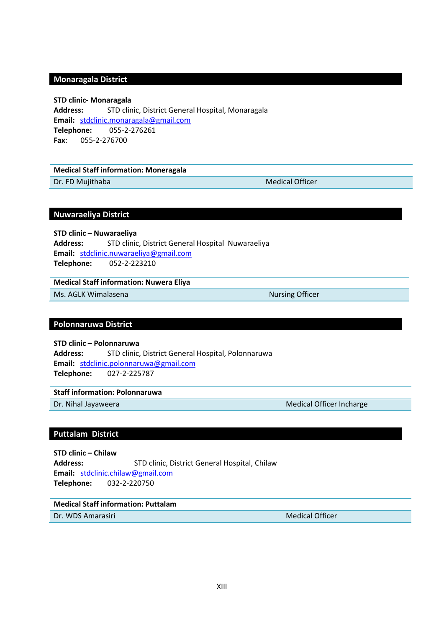### **Monaragala District**

#### **STD clinic- Monaragala**

**Address:** STD clinic, District General Hospital, Monaragala **Email:** stdclinic.monaragala@gmail.com **Telephone:** 055-2-276261 **Fax**: 055-2-276700

#### **Medical Staff information: Moneragala**

Dr. FD Mujithaba Medical Officer

### **Nuwaraeliya District**

**STD clinic – Nuwaraeliya Address:** STD clinic, District General Hospital Nuwaraeliya **Email:** stdclinic.nuwaraeliya@gmail.com **Telephone:** 052-2-223210

#### **Medical Staff information: Nuwera Eliya**

Ms. AGLK Wimalasena Nursing Officer

#### **Polonnaruwa District**

**STD clinic – Polonnaruwa Address:** STD clinic, District General Hospital, Polonnaruwa **Email:** [stdclinic.polonnaruwa@gmail.](mailto:stdclinic.polonnaruwa@gmail)com **Telephone:** 027-2-225787

#### **Staff information: Polonnaruwa**

Dr. Nihal Jayaweera Medical Officer Incharge

#### **Puttalam District**

**STD clinic – Chilaw Address:** STD clinic, District General Hospital, Chilaw **Email:** [stdclinic.chilaw@gmail.com](mailto:stdclinic.chilaw@gmail.com) **Telephone:** 032-2-220750

### **Medical Staff information: Puttalam**

Dr. WDS Amarasiri Medical Officer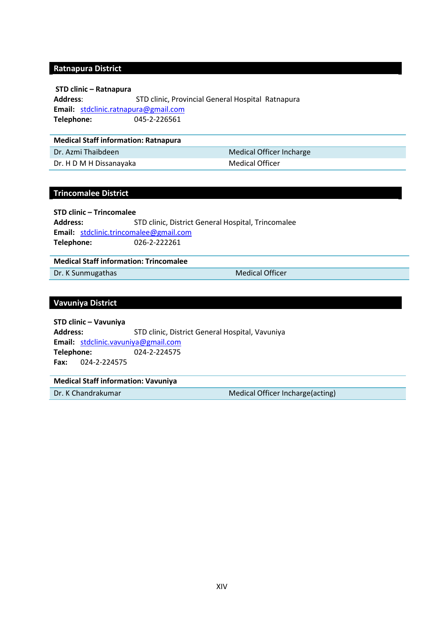### **Ratnapura District**

**STD clinic – Ratnapura Address**: STD clinic, Provincial General Hospital Ratnapura **Email:** stdclinic.ratnapura@gmail.com **Telephone:** 045-2-226561

#### **Medical Staff information: Ratnapura**

Dr. Azmi Thaibdeen Medical Officer Incharge Dr. H D M H Dissanayaka Medical Officer

### **Trincomalee District**

**STD clinic – Trincomalee** Address: STD clinic, District General Hospital, Trincomalee **Email:** stdclinic.trincomalee@gmail.com **Telephone:** 026-2-222261

### **Medical Staff information: Trincomalee**

Dr. K Sunmugathas Medical Officer

#### **Vavuniya District**

**STD clinic – Vavuniya Address:** STD clinic, District General Hospital, Vavuniya **Email:** stdclinic.vavuniya@gmail.com **Telephone:** 024-2-224575 **Fax:** 024-2-224575

#### **Medical Staff information: Vavuniya**

Dr. K Chandrakumar Medical Officer Incharge(acting)